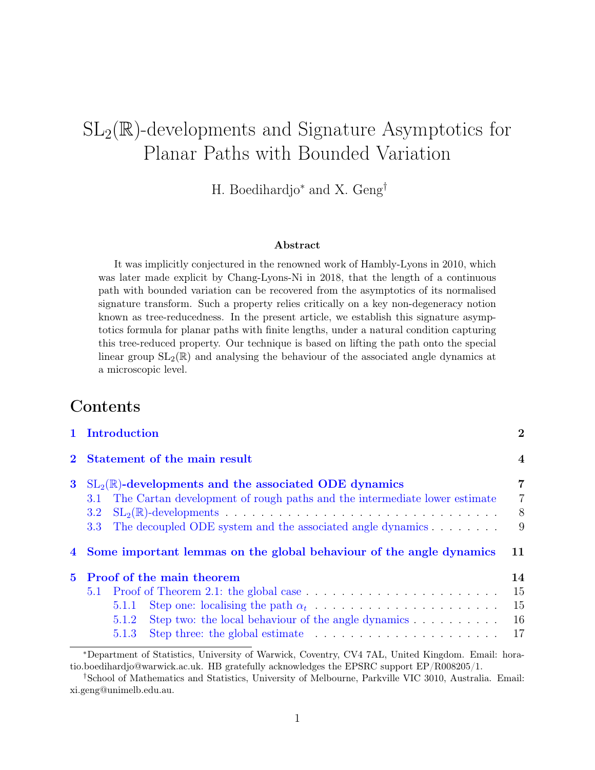# $SL_2(\mathbb{R})$ -developments and Signature Asymptotics for Planar Paths with Bounded Variation

H. Boedihardjo<sup>∗</sup> and X. Geng†

#### Abstract

It was implicitly conjectured in the renowned work of Hambly-Lyons in 2010, which was later made explicit by Chang-Lyons-Ni in 2018, that the length of a continuous path with bounded variation can be recovered from the asymptotics of its normalised signature transform. Such a property relies critically on a key non-degeneracy notion known as tree-reducedness. In the present article, we establish this signature asymptotics formula for planar paths with finite lengths, under a natural condition capturing this tree-reduced property. Our technique is based on lifting the path onto the special linear group  $SL_2(\mathbb{R})$  and analysing the behaviour of the associated angle dynamics at a microscopic level.

## Contents

|             |                                 | 1 Introduction |                                                                                                                                                                                                             | $\overline{2}$                |
|-------------|---------------------------------|----------------|-------------------------------------------------------------------------------------------------------------------------------------------------------------------------------------------------------------|-------------------------------|
|             |                                 |                | Statement of the main result                                                                                                                                                                                | $\overline{4}$                |
| $\bf{3}$    | 3.1-<br>3.2<br>3.3 <sub>1</sub> |                | $SL_2(\mathbb{R})$ -developments and the associated ODE dynamics<br>The Cartan development of rough paths and the intermediate lower estimate<br>The decoupled ODE system and the associated angle dynamics | 7<br>$\overline{7}$<br>8<br>9 |
|             |                                 |                | 4 Some important lemmas on the global behaviour of the angle dynamics                                                                                                                                       | 11                            |
| $5^{\circ}$ |                                 |                | <b>Proof of the main theorem</b>                                                                                                                                                                            | 14                            |
|             |                                 |                |                                                                                                                                                                                                             | 15                            |
|             |                                 | 5.1.1          |                                                                                                                                                                                                             | 15                            |
|             |                                 | 5.1.2          | Step two: the local behaviour of the angle dynamics                                                                                                                                                         | 16                            |
|             |                                 | 5.1.3          | Step three: the global estimate $\ldots \ldots \ldots \ldots \ldots \ldots \ldots$                                                                                                                          | 17                            |

<sup>∗</sup>Department of Statistics, University of Warwick, Coventry, CV4 7AL, United Kingdom. Email: horatio.boedihardjo@warwick.ac.uk. HB gratefully acknowledges the EPSRC support EP/R008205/1.

<sup>†</sup>School of Mathematics and Statistics, University of Melbourne, Parkville VIC 3010, Australia. Email: xi.geng@unimelb.edu.au.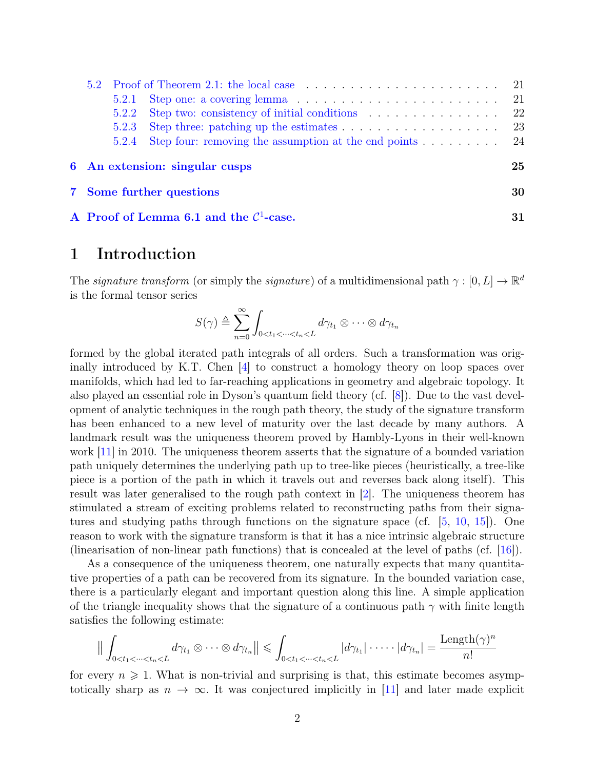|  | 5.2.1 |                                 | 21  |
|--|-------|---------------------------------|-----|
|  | 5.2.2 |                                 | -22 |
|  | 5.2.3 |                                 |     |
|  | 5.2.4 |                                 |     |
|  |       | 6 An extension: singular cusps  | 25  |
|  |       | <b>7</b> Some further questions | 30  |
|  |       |                                 |     |

[A Proof of Lemma](#page-30-0) [6.1](#page-25-0) and the  $C<sup>1</sup>$  $-case.$  31

### <span id="page-1-0"></span>1 Introduction

The signature transform (or simply the signature) of a multidimensional path  $\gamma : [0, L] \to \mathbb{R}^d$ is the formal tensor series

$$
S(\gamma) \triangleq \sum_{n=0}^{\infty} \int_{0 < t_1 < \dots < t_n < L} d\gamma_{t_1} \otimes \dots \otimes d\gamma_{t_n}
$$

formed by the global iterated path integrals of all orders. Such a transformation was originally introduced by K.T. Chen [\[4\]](#page-33-0) to construct a homology theory on loop spaces over manifolds, which had led to far-reaching applications in geometry and algebraic topology. It also played an essential role in Dyson's quantum field theory (cf. [\[8\]](#page-33-1)). Due to the vast development of analytic techniques in the rough path theory, the study of the signature transform has been enhanced to a new level of maturity over the last decade by many authors. A landmark result was the uniqueness theorem proved by Hambly-Lyons in their well-known work [\[11\]](#page-33-2) in 2010. The uniqueness theorem asserts that the signature of a bounded variation path uniquely determines the underlying path up to tree-like pieces (heuristically, a tree-like piece is a portion of the path in which it travels out and reverses back along itself). This result was later generalised to the rough path context in [\[2\]](#page-33-3). The uniqueness theorem has stimulated a stream of exciting problems related to reconstructing paths from their signatures and studying paths through functions on the signature space (cf.  $[5, 10, 15]$  $[5, 10, 15]$  $[5, 10, 15]$  $[5, 10, 15]$  $[5, 10, 15]$ ). One reason to work with the signature transform is that it has a nice intrinsic algebraic structure (linearisation of non-linear path functions) that is concealed at the level of paths (cf. [\[16\]](#page-33-7)).

As a consequence of the uniqueness theorem, one naturally expects that many quantitative properties of a path can be recovered from its signature. In the bounded variation case, there is a particularly elegant and important question along this line. A simple application of the triangle inequality shows that the signature of a continuous path  $\gamma$  with finite length satisfies the following estimate:

$$
\big\| \int_{0 < t_1 < \dots < t_n < L} d\gamma_{t_1} \otimes \dots \otimes d\gamma_{t_n} \big\| \leq \int_{0 < t_1 < \dots < t_n < L} |d\gamma_{t_1}| \cdot \dots \cdot |d\gamma_{t_n}| = \frac{\text{Length}(\gamma)^n}{n!}
$$

for every  $n \geq 1$ . What is non-trivial and surprising is that, this estimate becomes asymptotically sharp as  $n \to \infty$ . It was conjectured implicitly in [\[11\]](#page-33-2) and later made explicit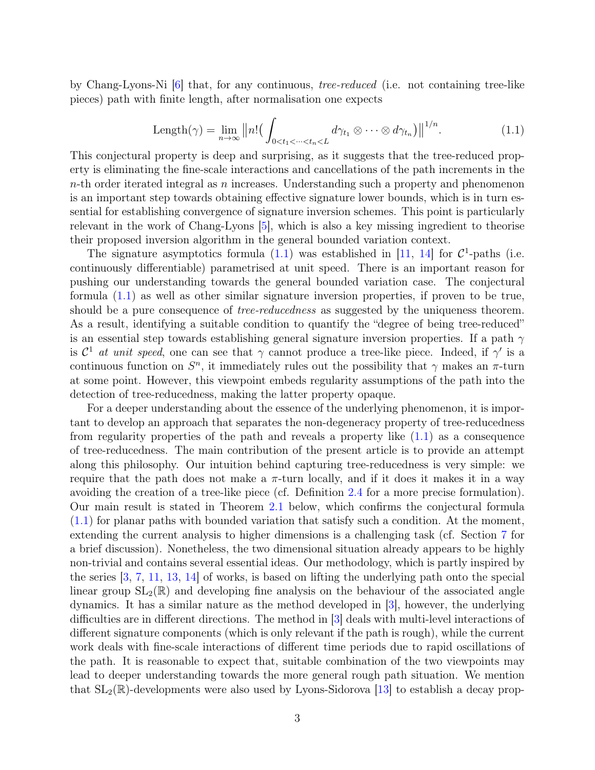by Chang-Lyons-Ni [\[6\]](#page-33-8) that, for any continuous, tree-reduced (i.e. not containing tree-like pieces) path with finite length, after normalisation one expects

<span id="page-2-0"></span>
$$
\text{Length}(\gamma) = \lim_{n \to \infty} ||n! \Big( \int_{0 < t_1 < \dots < t_n < L} d\gamma_{t_1} \otimes \dots \otimes d\gamma_{t_n} \Big) ||^{1/n} . \tag{1.1}
$$

This conjectural property is deep and surprising, as it suggests that the tree-reduced property is eliminating the fine-scale interactions and cancellations of the path increments in the  $n$ -th order iterated integral as n increases. Understanding such a property and phenomenon is an important step towards obtaining effective signature lower bounds, which is in turn essential for establishing convergence of signature inversion schemes. This point is particularly relevant in the work of Chang-Lyons [\[5\]](#page-33-4), which is also a key missing ingredient to theorise their proposed inversion algorithm in the general bounded variation context.

The signature asymptotics formula  $(1.1)$  was established in [\[11,](#page-33-2) [14\]](#page-33-9) for  $C^1$ -paths (i.e. continuously differentiable) parametrised at unit speed. There is an important reason for pushing our understanding towards the general bounded variation case. The conjectural formula [\(1.1\)](#page-2-0) as well as other similar signature inversion properties, if proven to be true, should be a pure consequence of *tree-reducedness* as suggested by the uniqueness theorem. As a result, identifying a suitable condition to quantify the "degree of being tree-reduced" is an essential step towards establishing general signature inversion properties. If a path  $\gamma$ is  $\mathcal{C}^1$  at unit speed, one can see that  $\gamma$  cannot produce a tree-like piece. Indeed, if  $\gamma'$  is a continuous function on  $S<sup>n</sup>$ , it immediately rules out the possibility that  $\gamma$  makes an  $\pi$ -turn at some point. However, this viewpoint embeds regularity assumptions of the path into the detection of tree-reducedness, making the latter property opaque.

For a deeper understanding about the essence of the underlying phenomenon, it is important to develop an approach that separates the non-degeneracy property of tree-reducedness from regularity properties of the path and reveals a property like [\(1.1\)](#page-2-0) as a consequence of tree-reducedness. The main contribution of the present article is to provide an attempt along this philosophy. Our intuition behind capturing tree-reducedness is very simple: we require that the path does not make a  $\pi$ -turn locally, and if it does it makes it in a way avoiding the creation of a tree-like piece (cf. Definition [2.4](#page-5-1) for a more precise formulation). Our main result is stated in Theorem [2.1](#page-5-0) below, which confirms the conjectural formula [\(1.1\)](#page-2-0) for planar paths with bounded variation that satisfy such a condition. At the moment, extending the current analysis to higher dimensions is a challenging task (cf. Section [7](#page-29-0) for a brief discussion). Nonetheless, the two dimensional situation already appears to be highly non-trivial and contains several essential ideas. Our methodology, which is partly inspired by the series [\[3,](#page-33-10) [7,](#page-33-11) [11,](#page-33-2) [13,](#page-33-12) [14\]](#page-33-9) of works, is based on lifting the underlying path onto the special linear group  $SL_2(\mathbb{R})$  and developing fine analysis on the behaviour of the associated angle dynamics. It has a similar nature as the method developed in [\[3\]](#page-33-10), however, the underlying difficulties are in different directions. The method in [\[3\]](#page-33-10) deals with multi-level interactions of different signature components (which is only relevant if the path is rough), while the current work deals with fine-scale interactions of different time periods due to rapid oscillations of the path. It is reasonable to expect that, suitable combination of the two viewpoints may lead to deeper understanding towards the more general rough path situation. We mention that  $SL_2(\mathbb{R})$ -developments were also used by Lyons-Sidorova [\[13\]](#page-33-12) to establish a decay prop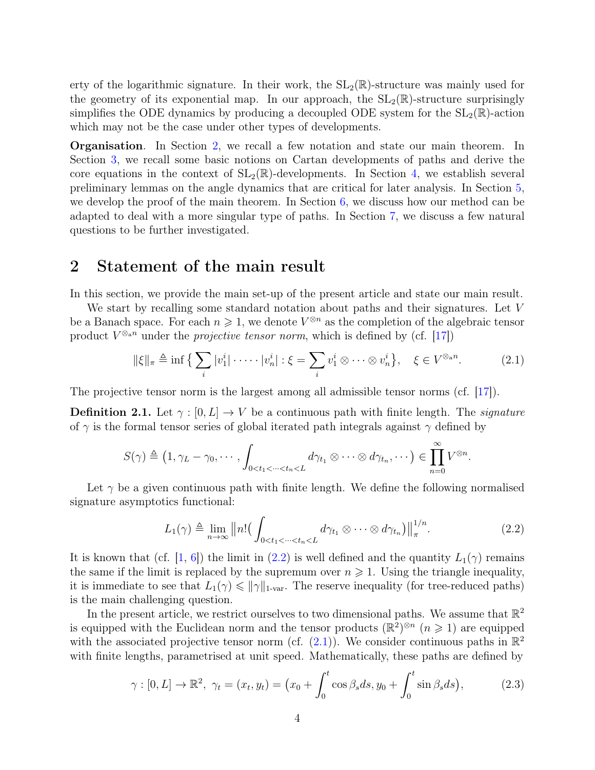erty of the logarithmic signature. In their work, the  $SL_2(\mathbb{R})$ -structure was mainly used for the geometry of its exponential map. In our approach, the  $SL_2(\mathbb{R})$ -structure surprisingly simplifies the ODE dynamics by producing a decoupled ODE system for the  $SL_2(\mathbb{R})$ -action which may not be the case under other types of developments.

Organisation. In Section [2,](#page-3-0) we recall a few notation and state our main theorem. In Section [3,](#page-6-0) we recall some basic notions on Cartan developments of paths and derive the core equations in the context of  $SL_2(\mathbb{R})$ -developments. In Section [4,](#page-10-0) we establish several preliminary lemmas on the angle dynamics that are critical for later analysis. In Section [5,](#page-13-0) we develop the proof of the main theorem. In Section  $6$ , we discuss how our method can be adapted to deal with a more singular type of paths. In Section [7,](#page-29-0) we discuss a few natural questions to be further investigated.

### <span id="page-3-0"></span>2 Statement of the main result

In this section, we provide the main set-up of the present article and state our main result.

We start by recalling some standard notation about paths and their signatures. Let V be a Banach space. For each  $n \geq 1$ , we denote  $V^{\otimes n}$  as the completion of the algebraic tensor product  $V^{\otimes_{\mathbf{a}^n}}$  under the *projective tensor norm*, which is defined by (cf. [\[17\]](#page-33-13))

<span id="page-3-2"></span>
$$
\|\xi\|_{\pi} \triangleq \inf \left\{ \sum_{i} |v_1^i| \cdot \dots \cdot |v_n^i| : \xi = \sum_{i} v_1^i \otimes \dots \otimes v_n^i \right\}, \quad \xi \in V^{\otimes_{\text{a}} n}.
$$
 (2.1)

The projective tensor norm is the largest among all admissible tensor norms (cf. [\[17\]](#page-33-13)).

**Definition 2.1.** Let  $\gamma : [0, L] \to V$  be a continuous path with finite length. The *signature* of  $\gamma$  is the formal tensor series of global iterated path integrals against  $\gamma$  defined by

$$
S(\gamma) \triangleq (1, \gamma_L - \gamma_0, \cdots, \int_{0 < t_1 < \cdots < t_n < L} d\gamma_{t_1} \otimes \cdots \otimes d\gamma_{t_n}, \cdots) \in \prod_{n=0}^{\infty} V^{\otimes n}.
$$

Let  $\gamma$  be a given continuous path with finite length. We define the following normalised signature asymptotics functional:

<span id="page-3-1"></span>
$$
L_1(\gamma) \triangleq \lim_{n \to \infty} ||n! \Big( \int_{0 < t_1 < \dots < t_n < L} d\gamma_{t_1} \otimes \dots \otimes d\gamma_{t_n} \Big) \big| \big|_{\pi}^{1/n} . \tag{2.2}
$$

It is known that (cf. [\[1,](#page-33-14) [6\]](#page-33-8)) the limit in [\(2.2\)](#page-3-1) is well defined and the quantity  $L_1(\gamma)$  remains the same if the limit is replaced by the supremum over  $n \geq 1$ . Using the triangle inequality, it is immediate to see that  $L_1(\gamma) \leqslant ||\gamma||_{1\text{-var}}$ . The reserve inequality (for tree-reduced paths) is the main challenging question.

In the present article, we restrict ourselves to two dimensional paths. We assume that  $\mathbb{R}^2$ is equipped with the Euclidean norm and the tensor products  $(\mathbb{R}^2)^{\otimes n}$   $(n \geq 1)$  are equipped with the associated projective tensor norm (cf.  $(2.1)$ ). We consider continuous paths in  $\mathbb{R}^2$ with finite lengths, parametrised at unit speed. Mathematically, these paths are defined by

<span id="page-3-3"></span>
$$
\gamma : [0, L] \to \mathbb{R}^2, \ \gamma_t = (x_t, y_t) = (x_0 + \int_0^t \cos \beta_s ds, y_0 + \int_0^t \sin \beta_s ds), \tag{2.3}
$$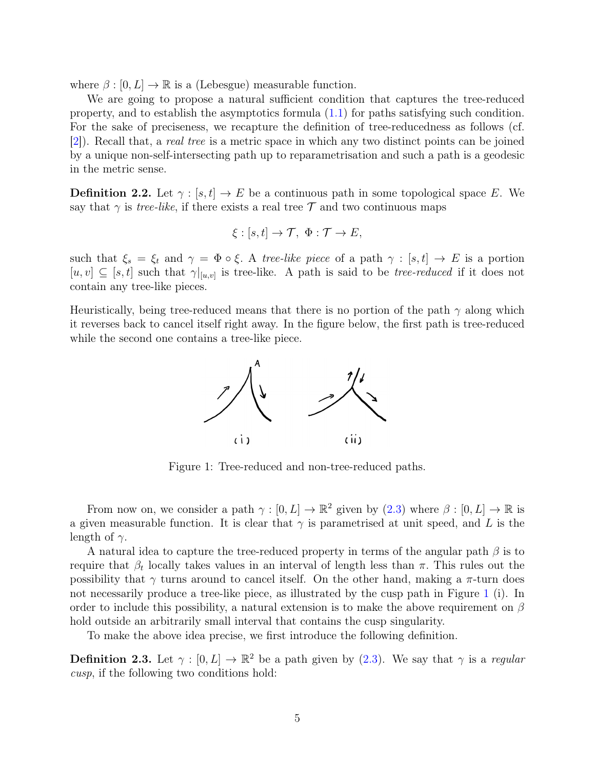where  $\beta : [0, L] \to \mathbb{R}$  is a (Lebesgue) measurable function.

We are going to propose a natural sufficient condition that captures the tree-reduced property, and to establish the asymptotics formula [\(1.1\)](#page-2-0) for paths satisfying such condition. For the sake of preciseness, we recapture the definition of tree-reducedness as follows (cf. [\[2\]](#page-33-3)). Recall that, a real tree is a metric space in which any two distinct points can be joined by a unique non-self-intersecting path up to reparametrisation and such a path is a geodesic in the metric sense.

<span id="page-4-2"></span>**Definition 2.2.** Let  $\gamma : [s, t] \to E$  be a continuous path in some topological space E. We say that  $\gamma$  is *tree-like*, if there exists a real tree T and two continuous maps

$$
\xi : [s, t] \to \mathcal{T}, \ \Phi : \mathcal{T} \to E,
$$

such that  $\xi_s = \xi_t$  and  $\gamma = \Phi \circ \xi$ . A tree-like piece of a path  $\gamma : [s, t] \to E$  is a portion  $[u, v] \subseteq [s, t]$  such that  $\gamma|_{[u,v]}$  is tree-like. A path is said to be *tree-reduced* if it does not contain any tree-like pieces.

Heuristically, being tree-reduced means that there is no portion of the path  $\gamma$  along which it reverses back to cancel itself right away. In the figure below, the first path is tree-reduced while the second one contains a tree-like piece.

<span id="page-4-0"></span>

Figure 1: Tree-reduced and non-tree-reduced paths.

From now on, we consider a path  $\gamma : [0, L] \to \mathbb{R}^2$  given by  $(2.3)$  where  $\beta : [0, L] \to \mathbb{R}$  is a given measurable function. It is clear that  $\gamma$  is parametrised at unit speed, and L is the length of  $\gamma$ .

A natural idea to capture the tree-reduced property in terms of the angular path  $\beta$  is to require that  $β_t$  locally takes values in an interval of length less than π. This rules out the possibility that  $\gamma$  turns around to cancel itself. On the other hand, making a  $\pi$ -turn does not necessarily produce a tree-like piece, as illustrated by the cusp path in Figure [1](#page-4-0) (i). In order to include this possibility, a natural extension is to make the above requirement on  $\beta$ hold outside an arbitrarily small interval that contains the cusp singularity.

To make the above idea precise, we first introduce the following definition.

<span id="page-4-1"></span>**Definition 2.3.** Let  $\gamma : [0, L] \to \mathbb{R}^2$  be a path given by [\(2.3\)](#page-3-3). We say that  $\gamma$  is a *regular* cusp, if the following two conditions hold: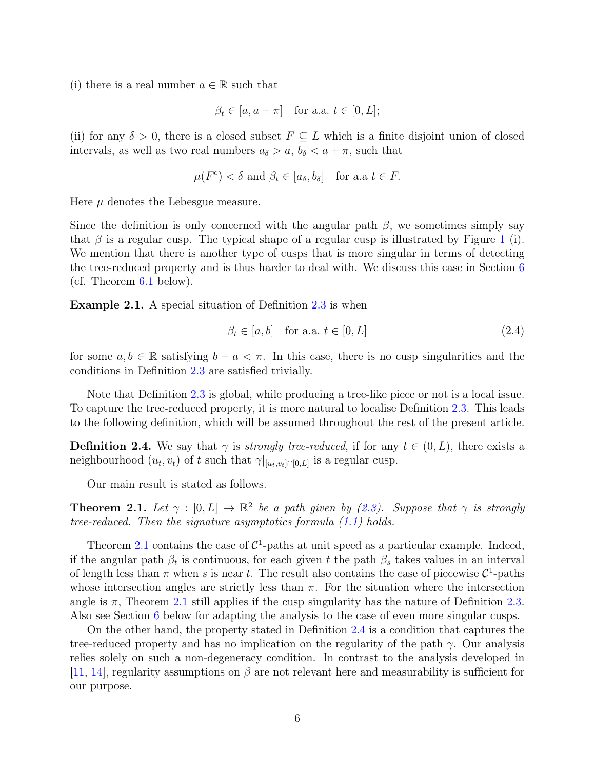(i) there is a real number  $a \in \mathbb{R}$  such that

$$
\beta_t \in [a, a + \pi] \quad \text{for a.a. } t \in [0, L];
$$

(ii) for any  $\delta > 0$ , there is a closed subset  $F \subseteq L$  which is a finite disjoint union of closed intervals, as well as two real numbers  $a_{\delta} > a, b_{\delta} < a + \pi$ , such that

$$
\mu(F^c) < \delta
$$
 and  $\beta_t \in [a_{\delta}, b_{\delta}]$  for a.a  $t \in F$ .

Here  $\mu$  denotes the Lebesgue measure.

Since the definition is only concerned with the angular path  $\beta$ , we sometimes simply say that  $\beta$  is a regular cusp. The typical shape of a regular cusp is illustrated by Figure [1](#page-4-0) (i). We mention that there is another type of cusps that is more singular in terms of detecting the tree-reduced property and is thus harder to deal with. We discuss this case in Section [6](#page-24-0) (cf. Theorem [6.1](#page-25-1) below).

<span id="page-5-2"></span>Example 2.1. A special situation of Definition [2.3](#page-4-1) is when

<span id="page-5-3"></span>
$$
\beta_t \in [a, b] \quad \text{for a.a. } t \in [0, L] \tag{2.4}
$$

for some  $a, b \in \mathbb{R}$  satisfying  $b - a < \pi$ . In this case, there is no cusp singularities and the conditions in Definition [2.3](#page-4-1) are satisfied trivially.

Note that Definition [2.3](#page-4-1) is global, while producing a tree-like piece or not is a local issue. To capture the tree-reduced property, it is more natural to localise Definition [2.3.](#page-4-1) This leads to the following definition, which will be assumed throughout the rest of the present article.

<span id="page-5-1"></span>**Definition 2.4.** We say that  $\gamma$  is *strongly tree-reduced*, if for any  $t \in (0, L)$ , there exists a neighbourhood  $(u_t, v_t)$  of t such that  $\gamma|_{[u_t, v_t] \cap [0, L]}$  is a regular cusp.

Our main result is stated as follows.

<span id="page-5-0"></span>**Theorem 2.1.** Let  $\gamma : [0, L] \to \mathbb{R}^2$  be a path given by [\(2.3\)](#page-3-3). Suppose that  $\gamma$  is strongly tree-reduced. Then the signature asymptotics formula [\(1.1\)](#page-2-0) holds.

Theorem [2.1](#page-5-0) contains the case of  $C^1$ -paths at unit speed as a particular example. Indeed, if the angular path  $\beta_t$  is continuous, for each given t the path  $\beta_s$  takes values in an interval of length less than  $\pi$  when s is near t. The result also contains the case of piecewise  $\mathcal{C}^1$ -paths whose intersection angles are strictly less than  $\pi$ . For the situation where the intersection angle is  $\pi$ , Theorem [2.1](#page-5-0) still applies if the cusp singularity has the nature of Definition [2.3.](#page-4-1) Also see Section [6](#page-24-0) below for adapting the analysis to the case of even more singular cusps.

On the other hand, the property stated in Definition [2.4](#page-5-1) is a condition that captures the tree-reduced property and has no implication on the regularity of the path  $\gamma$ . Our analysis relies solely on such a non-degeneracy condition. In contrast to the analysis developed in [\[11,](#page-33-2) [14\]](#page-33-9), regularity assumptions on  $\beta$  are not relevant here and measurability is sufficient for our purpose.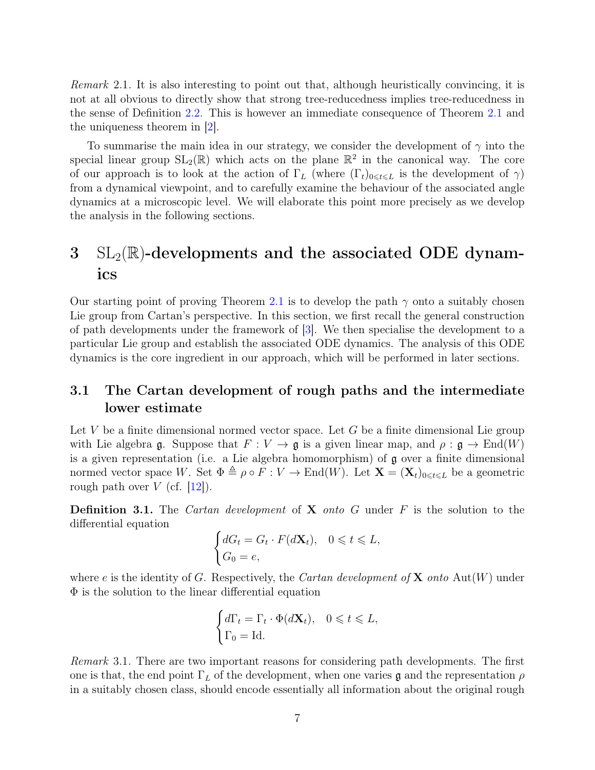Remark 2.1. It is also interesting to point out that, although heuristically convincing, it is not at all obvious to directly show that strong tree-reducedness implies tree-reducedness in the sense of Definition [2.2.](#page-4-2) This is however an immediate consequence of Theorem [2.1](#page-5-0) and the uniqueness theorem in [\[2\]](#page-33-3).

To summarise the main idea in our strategy, we consider the development of  $\gamma$  into the special linear group  $SL_2(\mathbb{R})$  which acts on the plane  $\mathbb{R}^2$  in the canonical way. The core of our approach is to look at the action of  $\Gamma_L$  (where  $(\Gamma_t)_{0 \le t \le L}$  is the development of  $\gamma$ ) from a dynamical viewpoint, and to carefully examine the behaviour of the associated angle dynamics at a microscopic level. We will elaborate this point more precisely as we develop the analysis in the following sections.

## <span id="page-6-0"></span> $3 \text{ SL}_2(\mathbb{R})$ -developments and the associated ODE dynamics

Our starting point of proving Theorem [2.1](#page-5-0) is to develop the path  $\gamma$  onto a suitably chosen Lie group from Cartan's perspective. In this section, we first recall the general construction of path developments under the framework of [\[3\]](#page-33-10). We then specialise the development to a particular Lie group and establish the associated ODE dynamics. The analysis of this ODE dynamics is the core ingredient in our approach, which will be performed in later sections.

### <span id="page-6-1"></span>3.1 The Cartan development of rough paths and the intermediate lower estimate

Let V be a finite dimensional normed vector space. Let G be a finite dimensional Lie group with Lie algebra g. Suppose that  $F: V \to \mathfrak{g}$  is a given linear map, and  $\rho: \mathfrak{g} \to \text{End}(W)$ is a given representation (i.e. a Lie algebra homomorphism) of  $\mathfrak g$  over a finite dimensional normed vector space W. Set  $\Phi \triangleq \rho \circ F : V \to \text{End}(W)$ . Let  $\mathbf{X} = (\mathbf{X}_t)_{0 \le t \le L}$  be a geometric rough path over  $V$  (cf. [\[12\]](#page-33-15)).

**Definition 3.1.** The *Cartan development* of **X** *onto*  $G$  under  $F$  is the solution to the differential equation

$$
\begin{cases} dG_t = G_t \cdot F(d\mathbf{X}_t), & 0 \leq t \leq L, \\ G_0 = e, & \end{cases}
$$

where e is the identity of G. Respectively, the Cartan development of  $X$  onto Aut $(W)$  under  $\Phi$  is the solution to the linear differential equation

$$
\begin{cases} d\Gamma_t = \Gamma_t \cdot \Phi(d\mathbf{X}_t), & 0 \leq t \leq L, \\ \Gamma_0 = \text{Id}. \end{cases}
$$

Remark 3.1. There are two important reasons for considering path developments. The first one is that, the end point  $\Gamma_L$  of the development, when one varies g and the representation  $\rho$ in a suitably chosen class, should encode essentially all information about the original rough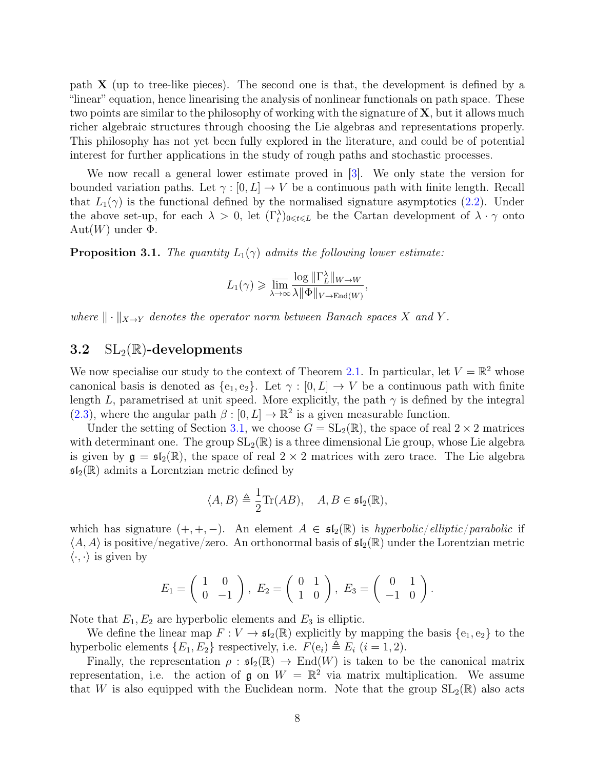path  $X$  (up to tree-like pieces). The second one is that, the development is defined by a "linear" equation, hence linearising the analysis of nonlinear functionals on path space. These two points are similar to the philosophy of working with the signature of  $X$ , but it allows much richer algebraic structures through choosing the Lie algebras and representations properly. This philosophy has not yet been fully explored in the literature, and could be of potential interest for further applications in the study of rough paths and stochastic processes.

We now recall a general lower estimate proved in [\[3\]](#page-33-10). We only state the version for bounded variation paths. Let  $\gamma : [0, L] \to V$  be a continuous path with finite length. Recall that  $L_1(\gamma)$  is the functional defined by the normalised signature asymptotics [\(2.2\)](#page-3-1). Under the above set-up, for each  $\lambda > 0$ , let  $(\Gamma_t^{\lambda})_{0 \leq t \leq L}$  be the Cartan development of  $\lambda \cdot \gamma$  onto  $Aut(W)$  under  $\Phi$ .

<span id="page-7-1"></span>**Proposition 3.1.** The quantity  $L_1(\gamma)$  admits the following lower estimate:

$$
L_1(\gamma) \geqslant \overline{\lim_{\lambda \to \infty}} \frac{\log \|\Gamma_L^{\lambda}\|_{W \to W}}{\lambda \|\Phi\|_{V \to \text{End}(W)}},
$$

where  $\|\cdot\|_{X\to Y}$  denotes the operator norm between Banach spaces X and Y.

#### <span id="page-7-0"></span>3.2  $SL_2(\mathbb{R})$ -developments

We now specialise our study to the context of Theorem [2.1.](#page-5-0) In particular, let  $V = \mathbb{R}^2$  whose canonical basis is denoted as  $\{e_1, e_2\}$ . Let  $\gamma : [0, L] \to V$  be a continuous path with finite length L, parametrised at unit speed. More explicitly, the path  $\gamma$  is defined by the integral  $(2.3)$ , where the angular path  $\beta : [0, L] \to \mathbb{R}^2$  is a given measurable function.

Under the setting of Section [3.1,](#page-6-1) we choose  $G = SL_2(\mathbb{R})$ , the space of real  $2 \times 2$  matrices with determinant one. The group  $SL_2(\mathbb{R})$  is a three dimensional Lie group, whose Lie algebra is given by  $\mathfrak{g} = \mathfrak{sl}_2(\mathbb{R})$ , the space of real  $2 \times 2$  matrices with zero trace. The Lie algebra  $\mathfrak{sl}_2(\mathbb{R})$  admits a Lorentzian metric defined by

$$
\langle A, B \rangle \triangleq \frac{1}{2} \text{Tr}(AB), \quad A, B \in \mathfrak{sl}_2(\mathbb{R}),
$$

which has signature  $(+, +, -)$ . An element  $A \in \mathfrak{sl}_2(\mathbb{R})$  is hyperbolic/elliptic/parabolic if  $\langle A, A \rangle$  is positive/negative/zero. An orthonormal basis of  $\mathfrak{sl}_2(\mathbb{R})$  under the Lorentzian metric  $\langle \cdot, \cdot \rangle$  is given by

$$
E_1 = \begin{pmatrix} 1 & 0 \\ 0 & -1 \end{pmatrix}, E_2 = \begin{pmatrix} 0 & 1 \\ 1 & 0 \end{pmatrix}, E_3 = \begin{pmatrix} 0 & 1 \\ -1 & 0 \end{pmatrix}.
$$

Note that  $E_1, E_2$  are hyperbolic elements and  $E_3$  is elliptic.

We define the linear map  $F: V \to \mathfrak{sl}_2(\mathbb{R})$  explicitly by mapping the basis  $\{e_1, e_2\}$  to the hyperbolic elements  $\{E_1, E_2\}$  respectively, i.e.  $F(e_i) \triangleq E_i$   $(i = 1, 2)$ .

Finally, the representation  $\rho : \mathfrak{sl}_2(\mathbb{R}) \to \text{End}(W)$  is taken to be the canonical matrix representation, i.e. the action of  $\mathfrak g$  on  $W = \mathbb R^2$  via matrix multiplication. We assume that W is also equipped with the Euclidean norm. Note that the group  $SL_2(\mathbb{R})$  also acts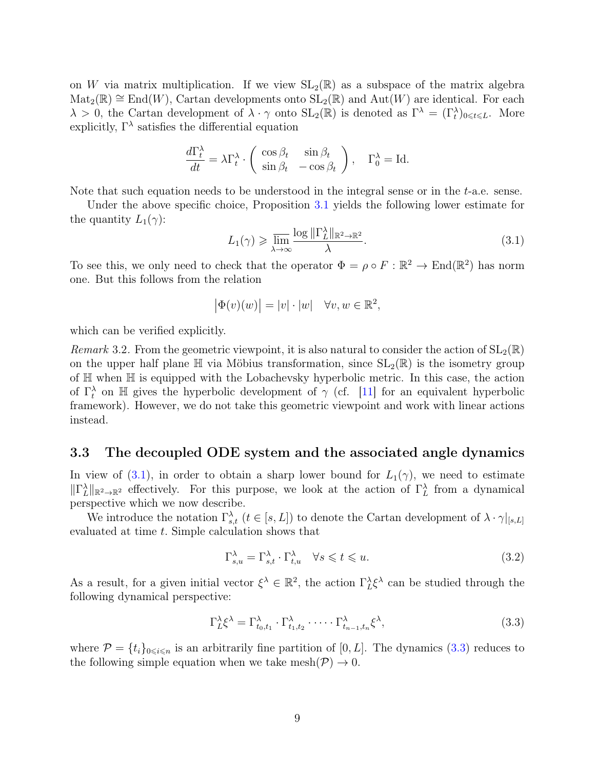on W via matrix multiplication. If we view  $SL_2(\mathbb{R})$  as a subspace of the matrix algebra  $\text{Mat}_2(\mathbb{R}) \cong \text{End}(W)$ , Cartan developments onto  $\text{SL}_2(\mathbb{R})$  and  $\text{Aut}(W)$  are identical. For each  $\lambda > 0$ , the Cartan development of  $\lambda \cdot \gamma$  onto  $SL_2(\mathbb{R})$  is denoted as  $\Gamma^{\lambda} = (\Gamma_t^{\lambda})_{0 \leq t \leq L}$ . More explicitly,  $\Gamma^{\lambda}$  satisfies the differential equation

$$
\frac{d\Gamma_t^{\lambda}}{dt} = \lambda \Gamma_t^{\lambda} \cdot \begin{pmatrix} \cos \beta_t & \sin \beta_t \\ \sin \beta_t & -\cos \beta_t \end{pmatrix}, \quad \Gamma_0^{\lambda} = \text{Id}.
$$

Note that such equation needs to be understood in the integral sense or in the  $t$ -a.e. sense.

Under the above specific choice, Proposition [3.1](#page-7-1) yields the following lower estimate for the quantity  $L_1(\gamma)$ :

<span id="page-8-1"></span>
$$
L_1(\gamma) \geqslant \varlimsup_{\lambda \to \infty} \frac{\log \|\Gamma_L^{\lambda}\|_{\mathbb{R}^2 \to \mathbb{R}^2}}{\lambda}.
$$
\n
$$
(3.1)
$$

To see this, we only need to check that the operator  $\Phi = \rho \circ F : \mathbb{R}^2 \to \text{End}(\mathbb{R}^2)$  has norm one. But this follows from the relation

$$
|\Phi(v)(w)| = |v| \cdot |w| \quad \forall v, w \in \mathbb{R}^2,
$$

which can be verified explicitly.

Remark 3.2. From the geometric viewpoint, it is also natural to consider the action of  $SL_2(\mathbb{R})$ on the upper half plane  $\mathbb H$  via Möbius transformation, since  $SL_2(\mathbb R)$  is the isometry group of H when H is equipped with the Lobachevsky hyperbolic metric. In this case, the action of  $\Gamma_t^{\lambda}$  on H gives the hyperbolic development of  $\gamma$  (cf. [\[11\]](#page-33-2) for an equivalent hyperbolic framework). However, we do not take this geometric viewpoint and work with linear actions instead.

#### <span id="page-8-0"></span>3.3 The decoupled ODE system and the associated angle dynamics

In view of [\(3.1\)](#page-8-1), in order to obtain a sharp lower bound for  $L_1(\gamma)$ , we need to estimate  $\|\Gamma_L^{\lambda}\|_{\mathbb{R}^2 \to \mathbb{R}^2}$  effectively. For this purpose, we look at the action of  $\Gamma_L^{\lambda}$  from a dynamical perspective which we now describe.

We introduce the notation  $\Gamma^{\lambda}_{s,t}$   $(t \in [s,L])$  to denote the Cartan development of  $\lambda \cdot \gamma|_{[s,L]}$ evaluated at time t. Simple calculation shows that

<span id="page-8-3"></span>
$$
\Gamma_{s,u}^{\lambda} = \Gamma_{s,t}^{\lambda} \cdot \Gamma_{t,u}^{\lambda} \quad \forall s \leq t \leq u. \tag{3.2}
$$

As a result, for a given initial vector  $\xi^{\lambda} \in \mathbb{R}^2$ , the action  $\Gamma_L^{\lambda} \xi^{\lambda}$  can be studied through the following dynamical perspective:

<span id="page-8-2"></span>
$$
\Gamma_L^{\lambda} \xi^{\lambda} = \Gamma_{t_0, t_1}^{\lambda} \cdot \Gamma_{t_1, t_2}^{\lambda} \cdot \dots \cdot \Gamma_{t_{n-1}, t_n}^{\lambda} \xi^{\lambda}, \tag{3.3}
$$

where  $\mathcal{P} = \{t_i\}_{0 \leq i \leq n}$  is an arbitrarily fine partition of [0, L]. The dynamics [\(3.3\)](#page-8-2) reduces to the following simple equation when we take mesh $(\mathcal{P}) \to 0$ .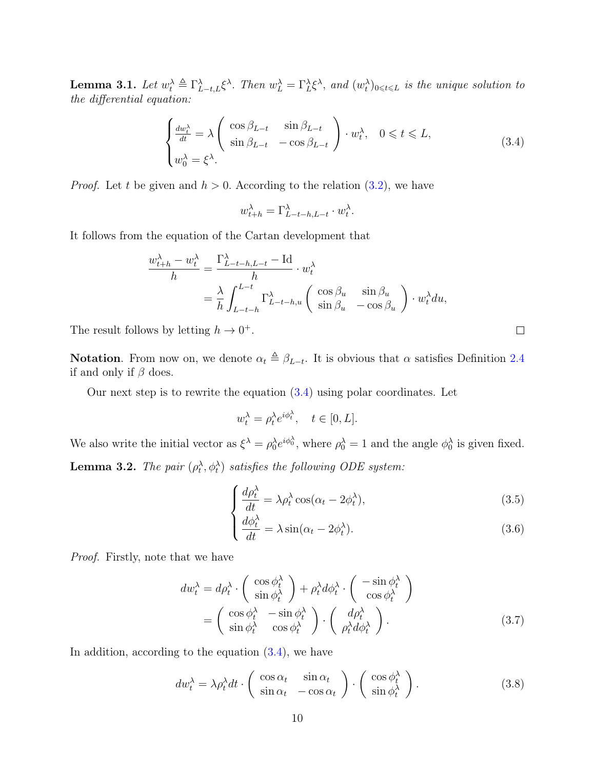**Lemma 3.1.** Let  $w_t^{\lambda} \triangleq \Gamma_{L-t,L}^{\lambda} \xi^{\lambda}$ . Then  $w_L^{\lambda} = \Gamma_L^{\lambda} \xi^{\lambda}$ , and  $(w_t^{\lambda})_{0 \leq t \leq L}$  is the unique solution to the differential equation:

<span id="page-9-0"></span>
$$
\begin{cases} \frac{dw_t^{\lambda}}{dt} = \lambda \begin{pmatrix} \cos \beta_{L-t} & \sin \beta_{L-t} \\ \sin \beta_{L-t} & -\cos \beta_{L-t} \end{pmatrix} \cdot w_t^{\lambda}, & 0 \leq t \leq L, \\ w_0^{\lambda} = \xi^{\lambda}. \end{cases}
$$
(3.4)

*Proof.* Let t be given and  $h > 0$ . According to the relation  $(3.2)$ , we have

$$
w_{t+h}^{\lambda} = \Gamma_{L-t-h,L-t}^{\lambda} \cdot w_t^{\lambda}.
$$

It follows from the equation of the Cartan development that

$$
\frac{w_{t+h}^{\lambda} - w_t^{\lambda}}{h} = \frac{\Gamma_{L-t-h,L-t}^{\lambda} - \text{Id}}{h} \cdot w_t^{\lambda}
$$

$$
= \frac{\lambda}{h} \int_{L-t-h}^{L-t} \Gamma_{L-t-h,u}^{\lambda} \left( \begin{array}{cc} \cos \beta_u & \sin \beta_u \\ \sin \beta_u & -\cos \beta_u \end{array} \right) \cdot w_t^{\lambda} du,
$$

The result follows by letting  $h \to 0^+$ .

**Notation**. From now on, we denote  $\alpha_t \triangleq \beta_{L-t}$ . It is obvious that  $\alpha$  satisfies Definition [2.4](#page-5-1) if and only if  $\beta$  does.

Our next step is to rewrite the equation  $(3.4)$  using polar coordinates. Let

$$
w_t^{\lambda} = \rho_t^{\lambda} e^{i\phi_t^{\lambda}}, \quad t \in [0, L].
$$

<span id="page-9-3"></span>We also write the initial vector as  $\xi^{\lambda} = \rho_0^{\lambda} e^{i\phi_0^{\lambda}}$ , where  $\rho_0^{\lambda} = 1$  and the angle  $\phi_0^{\lambda}$  is given fixed. **Lemma 3.2.** The pair  $(\rho_t^{\lambda}, \phi_t^{\lambda})$  satisfies the following ODE system:

$$
\begin{cases} \frac{d\rho_t^{\lambda}}{dt} = \lambda \rho_t^{\lambda} \cos(\alpha_t - 2\phi_t^{\lambda}), \end{cases} \tag{3.5}
$$

$$
\frac{d\phi_t^{\lambda}}{dt} = \lambda \sin(\alpha_t - 2\phi_t^{\lambda}).
$$
\n(3.6)

Proof. Firstly, note that we have

$$
dw_t^{\lambda} = d\rho_t^{\lambda} \cdot \begin{pmatrix} \cos \phi_t^{\lambda} \\ \sin \phi_t^{\lambda} \end{pmatrix} + \rho_t^{\lambda} d\phi_t^{\lambda} \cdot \begin{pmatrix} -\sin \phi_t^{\lambda} \\ \cos \phi_t^{\lambda} \end{pmatrix}
$$
  
= 
$$
\begin{pmatrix} \cos \phi_t^{\lambda} & -\sin \phi_t^{\lambda} \\ \sin \phi_t^{\lambda} & \cos \phi_t^{\lambda} \end{pmatrix} \cdot \begin{pmatrix} d\rho_t^{\lambda} \\ \rho_t^{\lambda} d\phi_t^{\lambda} \end{pmatrix}.
$$
 (3.7)

In addition, according to the equation  $(3.4)$ , we have

<span id="page-9-2"></span>
$$
dw_t^{\lambda} = \lambda \rho_t^{\lambda} dt \cdot \begin{pmatrix} \cos \alpha_t & \sin \alpha_t \\ \sin \alpha_t & -\cos \alpha_t \end{pmatrix} \cdot \begin{pmatrix} \cos \phi_t^{\lambda} \\ \sin \phi_t^{\lambda} \end{pmatrix}.
$$
 (3.8)

<span id="page-9-1"></span>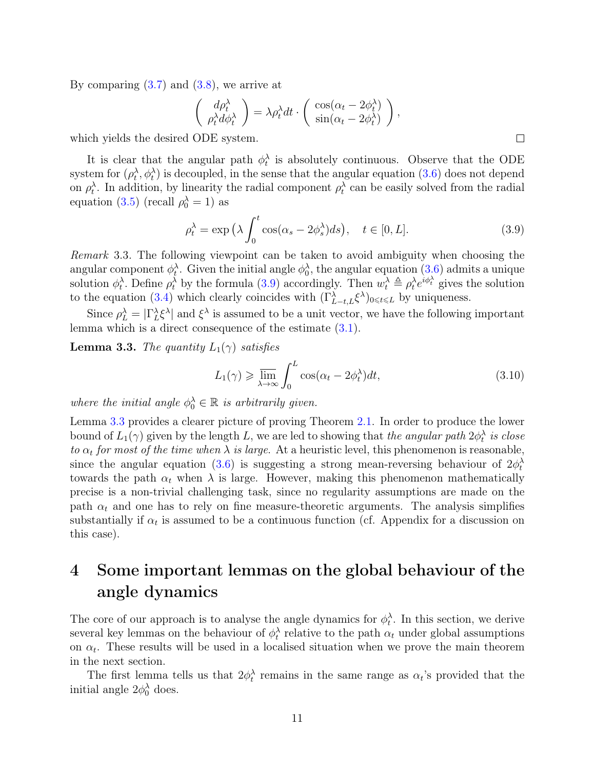By comparing  $(3.7)$  and  $(3.8)$ , we arrive at

$$
\begin{pmatrix} d\rho_t^{\lambda} \\ \rho_t^{\lambda} d\phi_t^{\lambda} \end{pmatrix} = \lambda \rho_t^{\lambda} dt \cdot \begin{pmatrix} \cos(\alpha_t - 2\phi_t^{\lambda}) \\ \sin(\alpha_t - 2\phi_t^{\lambda}) \end{pmatrix},
$$

which yields the desired ODE system.

It is clear that the angular path  $\phi_t^{\lambda}$  is absolutely continuous. Observe that the ODE system for  $(\rho_t^{\lambda}, \phi_t^{\lambda})$  is decoupled, in the sense that the angular equation  $(3.6)$  does not depend on  $\rho_t^{\lambda}$ . In addition, by linearity the radial component  $\rho_t^{\lambda}$  can be easily solved from the radial equation [\(3.5\)](#page-9-3) (recall  $\rho_0^{\lambda} = 1$ ) as

<span id="page-10-1"></span>
$$
\rho_t^{\lambda} = \exp\left(\lambda \int_0^t \cos(\alpha_s - 2\phi_s^{\lambda}) ds\right), \quad t \in [0, L]. \tag{3.9}
$$

Remark 3.3. The following viewpoint can be taken to avoid ambiguity when choosing the angular component  $\phi_t^{\lambda}$ . Given the initial angle  $\phi_0^{\lambda}$ , the angular equation  $(3.6)$  admits a unique solution  $\phi_t^{\lambda}$ . Define  $\rho_t^{\lambda}$  by the formula [\(3.9\)](#page-10-1) accordingly. Then  $w_t^{\lambda} \triangleq \rho_t^{\lambda} e^{i\phi_t^{\lambda}}$  gives the solution to the equation [\(3.4\)](#page-9-0) which clearly coincides with  $(\Gamma_{L-t,L}^{\lambda} \xi^{\lambda})_{0 \leq t \leq L}$  by uniqueness.

Since  $\rho_L^{\lambda} = |\Gamma_L^{\lambda} \xi^{\lambda}|$  and  $\xi^{\lambda}$  is assumed to be a unit vector, we have the following important lemma which is a direct consequence of the estimate [\(3.1\)](#page-8-1).

<span id="page-10-2"></span>**Lemma 3.3.** The quantity  $L_1(\gamma)$  satisfies

<span id="page-10-3"></span>
$$
L_1(\gamma) \geqslant \overline{\lim_{\lambda \to \infty}} \int_0^L \cos(\alpha_t - 2\phi_t^{\lambda}) dt,
$$
\n(3.10)

where the initial angle  $\phi_0^{\lambda} \in \mathbb{R}$  is arbitrarily given.

Lemma [3.3](#page-10-2) provides a clearer picture of proving Theorem [2.1.](#page-5-0) In order to produce the lower bound of  $L_1(\gamma)$  given by the length L, we are led to showing that *the angular path*  $2\phi_t^{\lambda}$  is close to  $\alpha_t$  for most of the time when  $\lambda$  is large. At a heuristic level, this phenomenon is reasonable, since the angular equation [\(3.6\)](#page-9-3) is suggesting a strong mean-reversing behaviour of  $2\phi_t^{\lambda}$ towards the path  $\alpha_t$  when  $\lambda$  is large. However, making this phenomenon mathematically precise is a non-trivial challenging task, since no regularity assumptions are made on the path  $\alpha_t$  and one has to rely on fine measure-theoretic arguments. The analysis simplifies substantially if  $\alpha_t$  is assumed to be a continuous function (cf. Appendix for a discussion on this case).

## <span id="page-10-0"></span>4 Some important lemmas on the global behaviour of the angle dynamics

The core of our approach is to analyse the angle dynamics for  $\phi_t^{\lambda}$ . In this section, we derive several key lemmas on the behaviour of  $\phi_t^{\lambda}$  relative to the path  $\alpha_t$  under global assumptions on  $\alpha_t$ . These results will be used in a localised situation when we prove the main theorem in the next section.

The first lemma tells us that  $2\phi_t^{\lambda}$  remains in the same range as  $\alpha_t$ 's provided that the initial angle  $2\phi_0^{\lambda}$  does.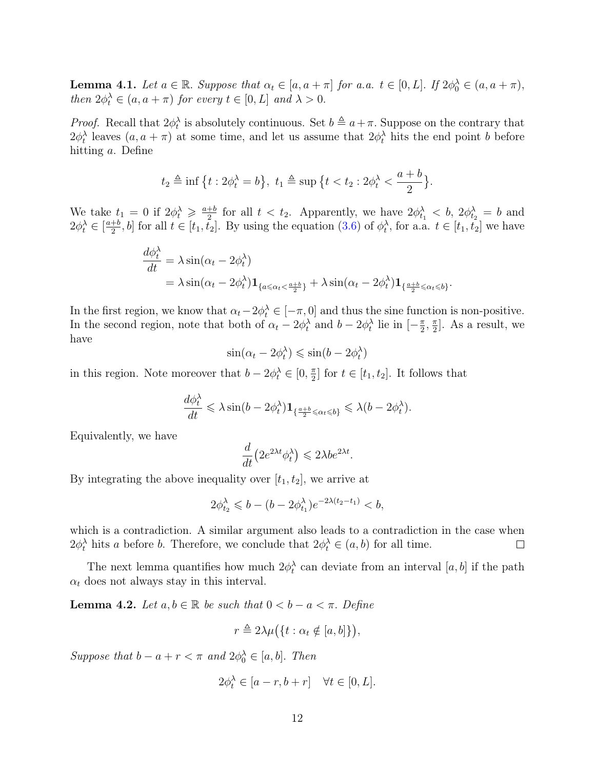<span id="page-11-1"></span>**Lemma 4.1.** Let  $a \in \mathbb{R}$ . Suppose that  $\alpha_t \in [a, a + \pi]$  for a.a.  $t \in [0, L]$ . If  $2\phi_0^{\lambda} \in (a, a + \pi)$ , then  $2\phi_t^{\lambda} \in (a, a + \pi)$  for every  $t \in [0, L]$  and  $\lambda > 0$ .

*Proof.* Recall that  $2\phi_t^{\lambda}$  is absolutely continuous. Set  $b \triangleq a + \pi$ . Suppose on the contrary that  $2\phi_t^{\lambda}$  leaves  $(a, a + \pi)$  at some time, and let us assume that  $2\phi_t^{\lambda}$  hits the end point b before hitting a. Define

$$
t_2 \triangleq \inf \{t : 2\phi_t^{\lambda} = b\}, t_1 \triangleq \sup \{t < t_2 : 2\phi_t^{\lambda} < \frac{a+b}{2}\}.
$$

We take  $t_1 = 0$  if  $2\phi_t^{\lambda} \geq \frac{a+b}{2}$  $\frac{+b}{2}$  for all  $t < t_2$ . Apparently, we have  $2\phi_{t_1}^{\lambda} < b$ ,  $2\phi_{t_2}^{\lambda} = b$  and  $2\phi_t^{\lambda} \in \left[\frac{a+b}{2}\right]$  $(\frac{1}{2}, b]$  for all  $t \in [t_1, t_2]$ . By using the equation  $(3.6)$  of  $\phi_t^{\lambda}$ , for a.a.  $t \in [t_1, t_2]$  we have

$$
\frac{d\phi_t^{\lambda}}{dt} = \lambda \sin(\alpha_t - 2\phi_t^{\lambda})
$$
  
=  $\lambda \sin(\alpha_t - 2\phi_t^{\lambda}) \mathbf{1}_{\{a \le \alpha_t < \frac{a+b}{2}\}} + \lambda \sin(\alpha_t - 2\phi_t^{\lambda}) \mathbf{1}_{\{\frac{a+b}{2} \le \alpha_t \le b\}}.$ 

In the first region, we know that  $\alpha_t - 2\phi_t^{\lambda} \in [-\pi, 0]$  and thus the sine function is non-positive. In the second region, note that both of  $\alpha_t - 2\phi_t^{\lambda}$  and  $b - 2\phi_t^{\lambda}$  lie in  $\left[-\frac{\pi}{2}\right]$  $\frac{\pi}{2}$ ,  $\frac{\pi}{2}$  $\frac{\pi}{2}$ . As a result, we have

$$
\sin(\alpha_t - 2\phi_t^{\lambda}) \le \sin(b - 2\phi_t^{\lambda})
$$

in this region. Note moreover that  $b - 2\phi_t^{\lambda} \in [0, \frac{\pi}{2}]$  $\frac{\pi}{2}$  for  $t \in [t_1, t_2]$ . It follows that

$$
\frac{d\phi_t^{\lambda}}{dt} \leq \lambda \sin(b - 2\phi_t^{\lambda}) \mathbf{1}_{\left\{\frac{a+b}{2} \leq \alpha_t \leq b\right\}} \leq \lambda(b - 2\phi_t^{\lambda}).
$$

Equivalently, we have

$$
\frac{d}{dt}\left(2e^{2\lambda t}\phi_t^{\lambda}\right) \leq 2\lambda b e^{2\lambda t}
$$

.

By integrating the above inequality over  $[t_1, t_2]$ , we arrive at

$$
2\phi_{t_2}^{\lambda} \leqslant b - (b - 2\phi_{t_1}^{\lambda})e^{-2\lambda(t_2 - t_1)} < b,
$$

which is a contradiction. A similar argument also leads to a contradiction in the case when  $2\phi_t^{\lambda}$  hits a before b. Therefore, we conclude that  $2\phi_t^{\lambda} \in (a, b)$  for all time.  $\Box$ 

The next lemma quantifies how much  $2\phi_t^{\lambda}$  can deviate from an interval [a, b] if the path  $\alpha_t$  does not always stay in this interval.

<span id="page-11-0"></span>**Lemma 4.2.** Let  $a, b \in \mathbb{R}$  be such that  $0 < b - a < \pi$ . Define

$$
r \triangleq 2\lambda\mu(\lbrace t : \alpha_t \notin [a, b] \rbrace),
$$

Suppose that  $b - a + r < \pi$  and  $2\phi_0^{\lambda} \in [a, b]$ . Then

$$
2\phi_t^{\lambda} \in [a-r, b+r] \quad \forall t \in [0, L].
$$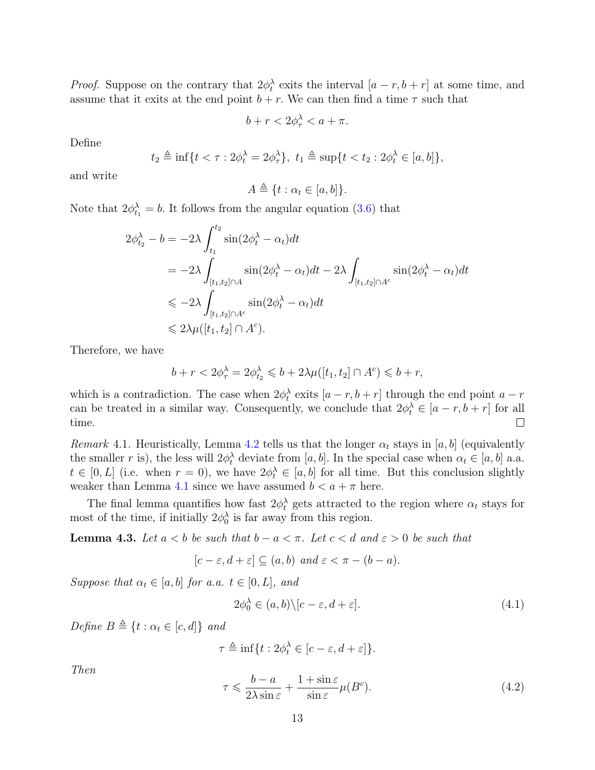*Proof.* Suppose on the contrary that  $2\phi_t^{\lambda}$  exits the interval  $[a - r, b + r]$  at some time, and assume that it exits at the end point  $b + r$ . We can then find a time  $\tau$  such that

$$
b + r < 2\phi_{\tau}^{\lambda} < a + \pi.
$$

Define

$$
t_2 \triangleq \inf\{t < \tau : 2\phi_t^{\lambda} = 2\phi_{\tau}^{\lambda}\}, t_1 \triangleq \sup\{t < t_2 : 2\phi_t^{\lambda} \in [a, b]\},\
$$

and write

$$
A \triangleq \{t : \alpha_t \in [a, b]\}.
$$

Note that  $2\phi_{t_1}^{\lambda} = b$ . It follows from the angular equation [\(3.6\)](#page-9-3) that

$$
2\phi_{t_2}^{\lambda} - b = -2\lambda \int_{t_1}^{t_2} \sin(2\phi_t^{\lambda} - \alpha_t) dt
$$
  
=  $-2\lambda \int_{[t_1, t_2] \cap A} \sin(2\phi_t^{\lambda} - \alpha_t) dt - 2\lambda \int_{[t_1, t_2] \cap A^c} \sin(2\phi_t^{\lambda} - \alpha_t) dt$   
 $\leq -2\lambda \int_{[t_1, t_2] \cap A^c} \sin(2\phi_t^{\lambda} - \alpha_t) dt$   
 $\leq 2\lambda \mu([t_1, t_2] \cap A^c).$ 

Therefore, we have

$$
b+r<2\phi_{\tau}^{\lambda}=2\phi_{t_2}^{\lambda}\leqslant b+2\lambda\mu([t_1,t_2]\cap A^c)\leqslant b+r,
$$

which is a contradiction. The case when  $2\phi_t^{\lambda}$  exits  $[a - r, b + r]$  through the end point  $a - r$ can be treated in a similar way. Consequently, we conclude that  $2\phi_t^{\lambda} \in [a-r, b+r]$  for all time.  $\Box$ 

Remark 4.1. Heuristically, Lemma [4.2](#page-11-0) tells us that the longer  $\alpha_t$  stays in [a, b] (equivalently the smaller r is), the less will  $2\phi_t^{\lambda}$  deviate from [a, b]. In the special case when  $\alpha_t \in [a, b]$  a.a.  $t \in [0, L]$  (i.e. when  $r = 0$ ), we have  $2\phi_t^{\lambda} \in [a, b]$  for all time. But this conclusion slightly weaker than Lemma [4.1](#page-11-1) since we have assumed  $b < a + \pi$  here.

The final lemma quantifies how fast  $2\phi_t^{\lambda}$  gets attracted to the region where  $\alpha_t$  stays for most of the time, if initially  $2\phi_0^{\lambda}$  is far away from this region.

<span id="page-12-2"></span>**Lemma 4.3.** Let  $a < b$  be such that  $b - a < \pi$ . Let  $c < d$  and  $\varepsilon > 0$  be such that

$$
[c - \varepsilon, d + \varepsilon] \subseteq (a, b)
$$
 and  $\varepsilon < \pi - (b - a)$ .

Suppose that  $\alpha_t \in [a, b]$  for a.a.  $t \in [0, L]$ , and

<span id="page-12-0"></span>
$$
2\phi_0^{\lambda} \in (a,b) \setminus [c-\varepsilon, d+\varepsilon]. \tag{4.1}
$$

Define  $B \triangleq \{t : \alpha_t \in [c, d]\}$  and

$$
\tau \triangleq \inf\{t: 2\phi_t^{\lambda} \in [c-\varepsilon, d+\varepsilon]\}.
$$

Then

<span id="page-12-1"></span>
$$
\tau \leqslant \frac{b-a}{2\lambda \sin \varepsilon} + \frac{1+\sin \varepsilon}{\sin \varepsilon} \mu(B^c). \tag{4.2}
$$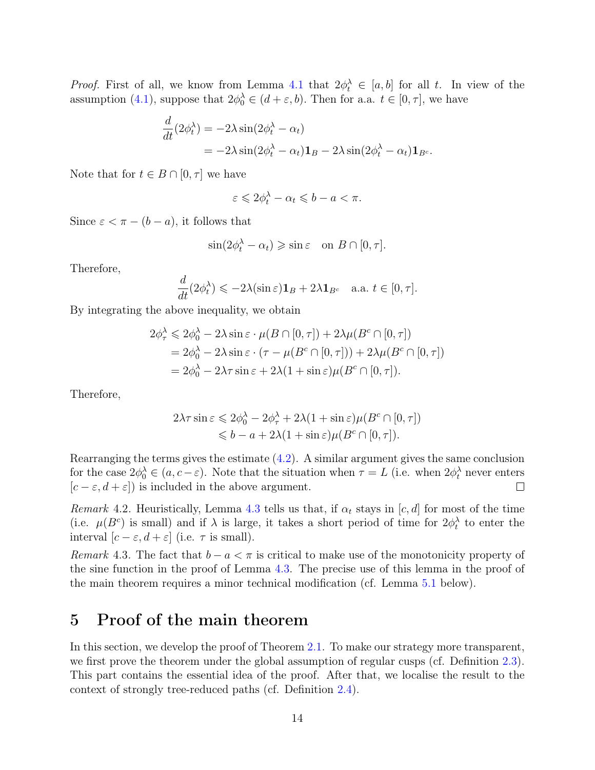*Proof.* First of all, we know from Lemma [4.1](#page-11-1) that  $2\phi_t^{\lambda} \in [a, b]$  for all t. In view of the assumption [\(4.1\)](#page-12-0), suppose that  $2\phi_0^{\lambda} \in (d + \varepsilon, b)$ . Then for a.a.  $t \in [0, \tau]$ , we have

$$
\frac{d}{dt}(2\phi_t^{\lambda}) = -2\lambda \sin(2\phi_t^{\lambda} - \alpha_t)
$$
  
=  $-2\lambda \sin(2\phi_t^{\lambda} - \alpha_t)\mathbf{1}_B - 2\lambda \sin(2\phi_t^{\lambda} - \alpha_t)\mathbf{1}_{B^c}.$ 

Note that for  $t \in B \cap [0, \tau]$  we have

$$
\varepsilon \leqslant 2\phi_t^{\lambda} - \alpha_t \leqslant b - a < \pi.
$$

Since  $\varepsilon < \pi - (b - a)$ , it follows that

$$
\sin(2\phi_t^{\lambda} - \alpha_t) \geqslant \sin \varepsilon \quad \text{on } B \cap [0, \tau].
$$

Therefore,

$$
\frac{d}{dt}(2\phi_t^{\lambda}) \leqslant -2\lambda(\sin \varepsilon)\mathbf{1}_B + 2\lambda \mathbf{1}_{B^c} \quad \text{a.a. } t \in [0, \tau].
$$

By integrating the above inequality, we obtain

$$
2\phi_{\tau}^{\lambda} \leq 2\phi_0^{\lambda} - 2\lambda \sin \varepsilon \cdot \mu(B \cap [0, \tau]) + 2\lambda \mu(B^c \cap [0, \tau])
$$
  
=  $2\phi_0^{\lambda} - 2\lambda \sin \varepsilon \cdot (\tau - \mu(B^c \cap [0, \tau])) + 2\lambda \mu(B^c \cap [0, \tau])$   
=  $2\phi_0^{\lambda} - 2\lambda \tau \sin \varepsilon + 2\lambda(1 + \sin \varepsilon)\mu(B^c \cap [0, \tau]).$ 

Therefore,

$$
2\lambda \tau \sin \varepsilon \leq 2\phi_0^{\lambda} - 2\phi_{\tau}^{\lambda} + 2\lambda (1 + \sin \varepsilon)\mu(B^c \cap [0, \tau])
$$
  

$$
\leq b - a + 2\lambda (1 + \sin \varepsilon)\mu(B^c \cap [0, \tau]).
$$

Rearranging the terms gives the estimate [\(4.2\)](#page-12-1). A similar argument gives the same conclusion for the case  $2\phi_0^{\lambda} \in (a, c - \varepsilon)$ . Note that the situation when  $\tau = L$  (i.e. when  $2\phi_t^{\lambda}$  never enters  $[c - \varepsilon, d + \varepsilon]$  is included in the above argument.  $\Box$ 

Remark 4.2. Heuristically, Lemma [4.3](#page-12-2) tells us that, if  $\alpha_t$  stays in [c, d] for most of the time (i.e.  $\mu(B^c)$  is small) and if  $\lambda$  is large, it takes a short period of time for  $2\phi_t^{\lambda}$  to enter the interval  $[c - \varepsilon, d + \varepsilon]$  (i.e.  $\tau$  is small).

Remark 4.3. The fact that  $b - a < \pi$  is critical to make use of the monotonicity property of the sine function in the proof of Lemma [4.3.](#page-12-2) The precise use of this lemma in the proof of the main theorem requires a minor technical modification (cf. Lemma [5.1](#page-16-1) below).

### <span id="page-13-0"></span>5 Proof of the main theorem

In this section, we develop the proof of Theorem [2.1.](#page-5-0) To make our strategy more transparent, we first prove the theorem under the global assumption of regular cusps (cf. Definition [2.3\)](#page-4-1). This part contains the essential idea of the proof. After that, we localise the result to the context of strongly tree-reduced paths (cf. Definition [2.4\)](#page-5-1).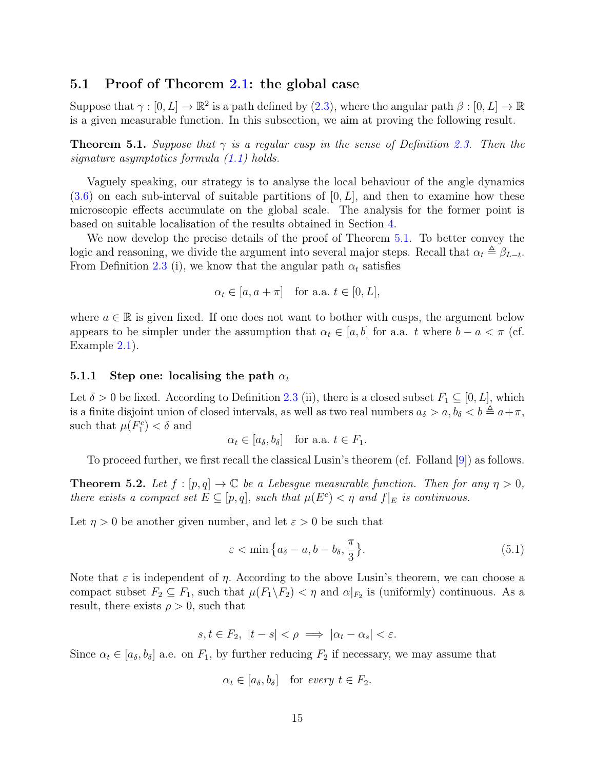### <span id="page-14-0"></span>5.1 Proof of Theorem [2.1:](#page-5-0) the global case

Suppose that  $\gamma : [0, L] \to \mathbb{R}^2$  is a path defined by  $(2.3)$ , where the angular path  $\beta : [0, L] \to \mathbb{R}^2$ is a given measurable function. In this subsection, we aim at proving the following result.

<span id="page-14-2"></span>**Theorem 5.1.** Suppose that  $\gamma$  is a regular cusp in the sense of Definition [2.3.](#page-4-1) Then the signature asymptotics formula [\(1.1\)](#page-2-0) holds.

Vaguely speaking, our strategy is to analyse the local behaviour of the angle dynamics  $(3.6)$  on each sub-interval of suitable partitions of  $[0, L]$ , and then to examine how these microscopic effects accumulate on the global scale. The analysis for the former point is based on suitable localisation of the results obtained in Section [4.](#page-10-0)

We now develop the precise details of the proof of Theorem [5.1.](#page-14-2) To better convey the logic and reasoning, we divide the argument into several major steps. Recall that  $\alpha_t \triangleq \beta_{L-t}$ . From Definition [2.3](#page-4-1) (i), we know that the angular path  $\alpha_t$  satisfies

$$
\alpha_t \in [a, a + \pi] \quad \text{for a.a. } t \in [0, L],
$$

where  $a \in \mathbb{R}$  is given fixed. If one does not want to bother with cusps, the argument below appears to be simpler under the assumption that  $\alpha_t \in [a, b]$  for a.a. t where  $b - a < \pi$  (cf. Example [2.1\)](#page-5-2).

#### <span id="page-14-1"></span>5.1.1 Step one: localising the path  $\alpha_t$

Let  $\delta > 0$  be fixed. According to Definition [2.3](#page-4-1) (ii), there is a closed subset  $F_1 \subseteq [0, L]$ , which is a finite disjoint union of closed intervals, as well as two real numbers  $a_{\delta} > a, b_{\delta} < b \triangleq a+\pi$ , such that  $\mu(F_1^c) < \delta$  and

$$
\alpha_t \in [a_{\delta}, b_{\delta}]
$$
 for a.a.  $t \in F_1$ .

To proceed further, we first recall the classical Lusin's theorem (cf. Folland [\[9\]](#page-33-16)) as follows.

**Theorem 5.2.** Let  $f : [p,q] \to \mathbb{C}$  be a Lebesgue measurable function. Then for any  $\eta > 0$ , there exists a compact set  $E \subseteq [p,q]$ , such that  $\mu(E^c) < \eta$  and  $f|_E$  is continuous.

Let  $\eta > 0$  be another given number, and let  $\varepsilon > 0$  be such that

<span id="page-14-3"></span>
$$
\varepsilon < \min\left\{a_{\delta} - a, b - b_{\delta}, \frac{\pi}{3}\right\}.\tag{5.1}
$$

Note that  $\varepsilon$  is independent of  $\eta$ . According to the above Lusin's theorem, we can choose a compact subset  $F_2 \subseteq F_1$ , such that  $\mu(F_1 \backslash F_2) < \eta$  and  $\alpha|_{F_2}$  is (uniformly) continuous. As a result, there exists  $\rho > 0$ , such that

$$
s, t \in F_2, \ |t - s| < \rho \implies |\alpha_t - \alpha_s| < \varepsilon.
$$

Since  $\alpha_t \in [a_\delta, b_\delta]$  a.e. on  $F_1$ , by further reducing  $F_2$  if necessary, we may assume that

$$
\alpha_t \in [a_{\delta}, b_{\delta}]
$$
 for every  $t \in F_2$ .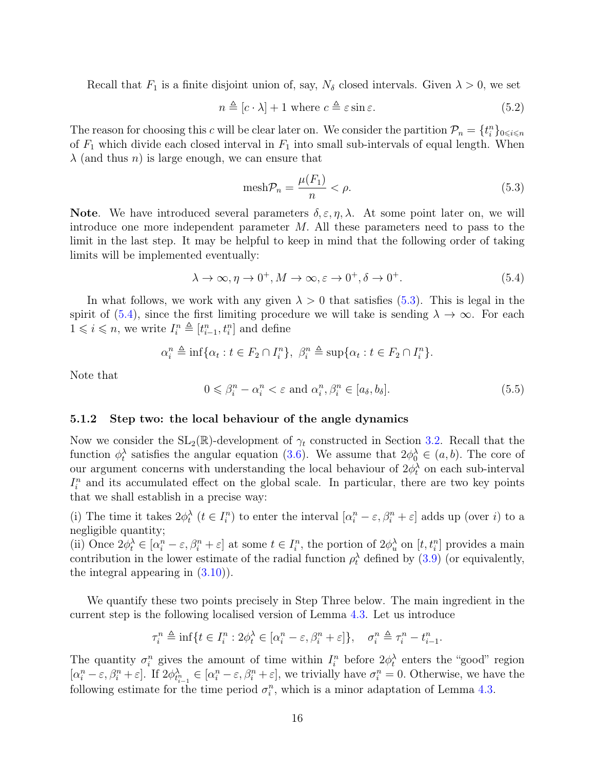Recall that  $F_1$  is a finite disjoint union of, say,  $N_{\delta}$  closed intervals. Given  $\lambda > 0$ , we set

<span id="page-15-3"></span>
$$
n \triangleq [c \cdot \lambda] + 1 \text{ where } c \triangleq \varepsilon \sin \varepsilon. \tag{5.2}
$$

The reason for choosing this c will be clear later on. We consider the partition  $\mathcal{P}_n = \{t_i^n\}_{0 \leq i \leq n}$ of  $F_1$  which divide each closed interval in  $F_1$  into small sub-intervals of equal length. When  $\lambda$  (and thus *n*) is large enough, we can ensure that

<span id="page-15-1"></span>
$$
\text{mesh}\mathcal{P}_n = \frac{\mu(F_1)}{n} < \rho. \tag{5.3}
$$

**Note.** We have introduced several parameters  $\delta, \epsilon, \eta, \lambda$ . At some point later on, we will introduce one more independent parameter  $M$ . All these parameters need to pass to the limit in the last step. It may be helpful to keep in mind that the following order of taking limits will be implemented eventually:

<span id="page-15-2"></span>
$$
\lambda \to \infty, \eta \to 0^+, M \to \infty, \varepsilon \to 0^+, \delta \to 0^+.
$$
\n(5.4)

In what follows, we work with any given  $\lambda > 0$  that satisfies [\(5.3\)](#page-15-1). This is legal in the spirit of [\(5.4\)](#page-15-2), since the first limiting procedure we will take is sending  $\lambda \to \infty$ . For each  $1 \leqslant i \leqslant n$ , we write  $I_i^n \triangleq [t_{i-1}^n, t_i^n]$  and define

$$
\alpha_i^n \triangleq \inf \{ \alpha_t : t \in F_2 \cap I_i^n \}, \ \beta_i^n \triangleq \sup \{ \alpha_t : t \in F_2 \cap I_i^n \}.
$$

Note that

<span id="page-15-4"></span>
$$
0 \leq \beta_i^n - \alpha_i^n < \varepsilon \text{ and } \alpha_i^n, \beta_i^n \in [a_\delta, b_\delta].\tag{5.5}
$$

#### <span id="page-15-0"></span>5.1.2 Step two: the local behaviour of the angle dynamics

Now we consider the  $SL_2(\mathbb{R})$ -development of  $\gamma_t$  constructed in Section [3.2.](#page-7-0) Recall that the function  $\phi_t^{\lambda}$  satisfies the angular equation [\(3.6\)](#page-9-3). We assume that  $2\phi_0^{\lambda} \in (a, b)$ . The core of our argument concerns with understanding the local behaviour of  $2\phi_t^{\lambda}$  on each sub-interval  $I_i^n$  and its accumulated effect on the global scale. In particular, there are two key points that we shall establish in a precise way:

(i) The time it takes  $2\phi_t^{\lambda}$   $(t \in I_i^n)$  to enter the interval  $[\alpha_i^n - \varepsilon, \beta_i^n + \varepsilon]$  adds up (over i) to a negligible quantity;

(ii) Once  $2\phi_t^{\lambda} \in [\alpha_i^n - \varepsilon, \beta_i^n + \varepsilon]$  at some  $t \in I_i^n$ , the portion of  $2\phi_u^{\lambda}$  on  $[t, t_i^n]$  provides a main contribution in the lower estimate of the radial function  $\rho_t^{\lambda}$  defined by [\(3.9\)](#page-10-1) (or equivalently, the integral appearing in [\(3.10\)](#page-10-3)).

We quantify these two points precisely in Step Three below. The main ingredient in the current step is the following localised version of Lemma [4.3.](#page-12-2) Let us introduce

$$
\tau_i^n \triangleq \inf\{t \in I_i^n : 2\phi_t^{\lambda} \in [\alpha_i^n - \varepsilon, \beta_i^n + \varepsilon] \}, \quad \sigma_i^n \triangleq \tau_i^n - t_{i-1}^n.
$$

The quantity  $\sigma_i^n$  gives the amount of time within  $I_i^n$  before  $2\phi_t^{\lambda}$  enters the "good" region  $[\alpha_i^n - \varepsilon, \beta_i^n + \varepsilon]$ . If  $2\phi_{t_{i-1}^n}^{\lambda_n} \in [\alpha_i^n - \varepsilon, \beta_i^n + \varepsilon]$ , we trivially have  $\sigma_i^n = 0$ . Otherwise, we have the following estimate for the time period  $\sigma_i^n$ , which is a minor adaptation of Lemma [4.3.](#page-12-2)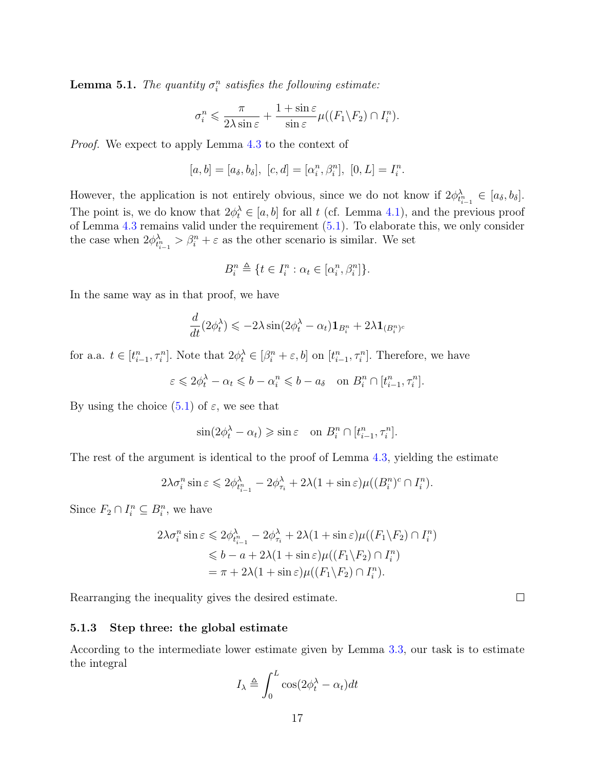<span id="page-16-1"></span>**Lemma 5.1.** The quantity  $\sigma_i^n$  satisfies the following estimate:

$$
\sigma_i^n \leq \frac{\pi}{2\lambda \sin \varepsilon} + \frac{1 + \sin \varepsilon}{\sin \varepsilon} \mu((F_1 \backslash F_2) \cap I_i^n).
$$

Proof. We expect to apply Lemma [4.3](#page-12-2) to the context of

$$
[a, b] = [a_{\delta}, b_{\delta}], [c, d] = [\alpha_i^n, \beta_i^n], [0, L] = I_i^n.
$$

However, the application is not entirely obvious, since we do not know if  $2\phi_{t_{i-1}^n}^{\lambda} \in [a_{\delta}, b_{\delta}]$ . The point is, we do know that  $2\phi_t^{\lambda} \in [a, b]$  for all t (cf. Lemma [4.1\)](#page-11-1), and the previous proof of Lemma [4.3](#page-12-2) remains valid under the requirement [\(5.1\)](#page-14-3). To elaborate this, we only consider the case when  $2\phi_{t_{i-1}^n}^{\lambda} > \beta_i^n + \varepsilon$  as the other scenario is similar. We set

$$
B_i^n \triangleq \{ t \in I_i^n : \alpha_t \in [\alpha_i^n, \beta_i^n] \}.
$$

In the same way as in that proof, we have

$$
\frac{d}{dt}(2\phi_t^{\lambda}) \le -2\lambda \sin(2\phi_t^{\lambda} - \alpha_t) \mathbf{1}_{B_i^n} + 2\lambda \mathbf{1}_{(B_i^n)^c}
$$

for a.a.  $t \in [t_{i-1}^n, \tau_i^n]$ . Note that  $2\phi_t^{\lambda} \in [\beta_i^n + \varepsilon, b]$  on  $[t_{i-1}^n, \tau_i^n]$ . Therefore, we have

 $\varepsilon \leq 2\phi_t^{\lambda} - \alpha_t \leq b - \alpha_i^n \leq b - a_{\delta} \quad \text{on } B_i^n \cap [t_{i-1}^n, \tau_i^n].$ 

By using the choice  $(5.1)$  of  $\varepsilon$ , we see that

$$
\sin(2\phi_t^{\lambda} - \alpha_t) \geqslant \sin \varepsilon \quad \text{on } B_i^n \cap [t_{i-1}^n, \tau_i^n].
$$

The rest of the argument is identical to the proof of Lemma [4.3,](#page-12-2) yielding the estimate

$$
2\lambda \sigma_i^n \sin \varepsilon \leq 2\phi_{t_{i-1}^n}^{\lambda} - 2\phi_{\tau_i}^{\lambda} + 2\lambda (1 + \sin \varepsilon) \mu((B_i^n)^c \cap I_i^n).
$$

Since  $F_2 \cap I_i^n \subseteq B_i^n$ , we have

$$
2\lambda \sigma_i^n \sin \varepsilon \leq 2\phi_{t_{i-1}^n}^{\lambda} - 2\phi_{\tau_i}^{\lambda} + 2\lambda (1 + \sin \varepsilon) \mu((F_1 \backslash F_2) \cap I_i^n)
$$
  
\n
$$
\leq b - a + 2\lambda (1 + \sin \varepsilon) \mu((F_1 \backslash F_2) \cap I_i^n)
$$
  
\n
$$
= \pi + 2\lambda (1 + \sin \varepsilon) \mu((F_1 \backslash F_2) \cap I_i^n).
$$

Rearranging the inequality gives the desired estimate.

#### <span id="page-16-0"></span>5.1.3 Step three: the global estimate

According to the intermediate lower estimate given by Lemma [3.3,](#page-10-2) our task is to estimate the integral

$$
I_{\lambda} \triangleq \int_0^L \cos(2\phi_t^{\lambda} - \alpha_t) dt
$$

 $\Box$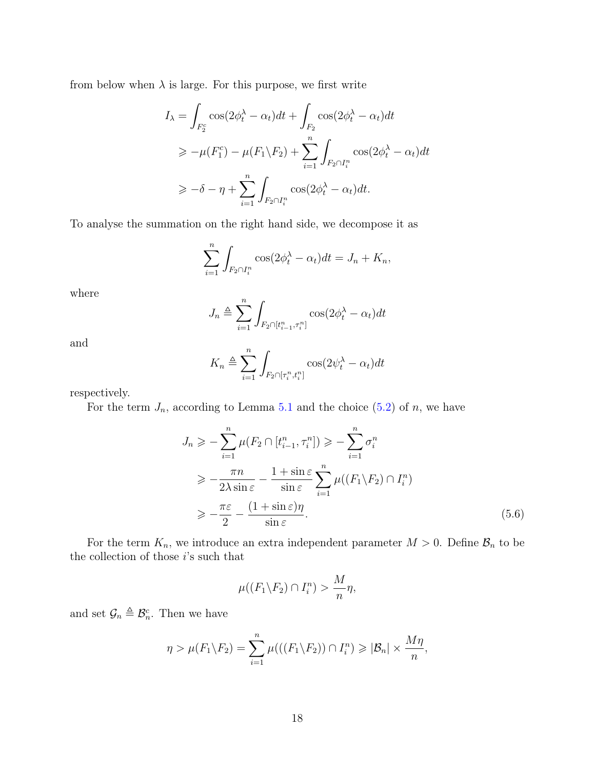from below when  $\lambda$  is large. For this purpose, we first write

$$
I_{\lambda} = \int_{F_2^c} \cos(2\phi_t^{\lambda} - \alpha_t) dt + \int_{F_2} \cos(2\phi_t^{\lambda} - \alpha_t) dt
$$
  
\n
$$
\ge -\mu(F_1^c) - \mu(F_1 \backslash F_2) + \sum_{i=1}^n \int_{F_2 \cap I_i^n} \cos(2\phi_t^{\lambda} - \alpha_t) dt
$$
  
\n
$$
\ge -\delta - \eta + \sum_{i=1}^n \int_{F_2 \cap I_i^n} \cos(2\phi_t^{\lambda} - \alpha_t) dt.
$$

To analyse the summation on the right hand side, we decompose it as

$$
\sum_{i=1}^{n} \int_{F_2 \cap I_i^n} \cos(2\phi_t^{\lambda} - \alpha_t) dt = J_n + K_n,
$$

where

$$
J_n \triangleq \sum_{i=1}^n \int_{F_2 \cap [t_{i-1}^n, \tau_i^n]} \cos(2\phi_t^{\lambda} - \alpha_t) dt
$$

and

$$
K_n \triangleq \sum_{i=1}^n \int_{F_2 \cap [\tau_i^n, t_i^n]} \cos(2\psi_t^{\lambda} - \alpha_t) dt
$$

respectively.

For the term  $J_n$ , according to Lemma [5.1](#page-16-1) and the choice [\(5.2\)](#page-15-3) of n, we have

$$
J_n \geqslant -\sum_{i=1}^n \mu(F_2 \cap [t_{i-1}^n, \tau_i^n]) \geqslant -\sum_{i=1}^n \sigma_i^n
$$
  
\n
$$
\geqslant -\frac{\pi n}{2\lambda \sin \varepsilon} - \frac{1 + \sin \varepsilon}{\sin \varepsilon} \sum_{i=1}^n \mu((F_1 \backslash F_2) \cap I_i^n)
$$
  
\n
$$
\geqslant -\frac{\pi \varepsilon}{2} - \frac{(1 + \sin \varepsilon)\eta}{\sin \varepsilon}.
$$
\n(5.6)

For the term  $K_n$ , we introduce an extra independent parameter  $M > 0$ . Define  $\mathcal{B}_n$  to be the collection of those  $i$  's such that

<span id="page-17-0"></span>
$$
\mu((F_1 \backslash F_2) \cap I_i^n) > \frac{M}{n}\eta,
$$

and set  $\mathcal{G}_n \triangleq \mathcal{B}_n^c$ . Then we have

$$
\eta > \mu(F_1 \backslash F_2) = \sum_{i=1}^n \mu(((F_1 \backslash F_2)) \cap I_i^n) \geqslant |\mathcal{B}_n| \times \frac{M\eta}{n},
$$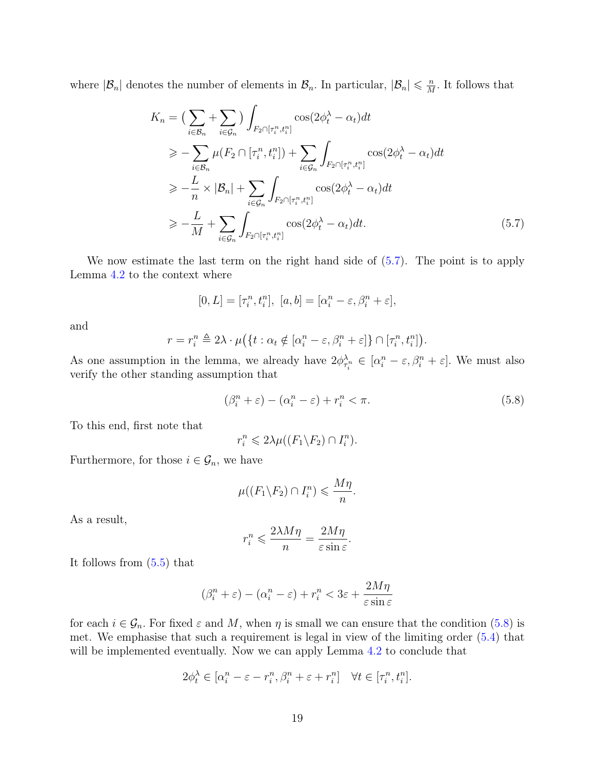where  $|\mathcal{B}_n|$  denotes the number of elements in  $\mathcal{B}_n$ . In particular,  $|\mathcal{B}_n| \leq \frac{n}{M}$  $\frac{n}{M}$ . It follows that

$$
K_n = \left(\sum_{i \in \mathcal{B}_n} + \sum_{i \in \mathcal{G}_n} \right) \int_{F_2 \cap [\tau_i^n, t_i^n]} \cos(2\phi_t^{\lambda} - \alpha_t) dt
$$
  
\n
$$
\geq - \sum_{i \in \mathcal{B}_n} \mu(F_2 \cap [\tau_i^n, t_i^n]) + \sum_{i \in \mathcal{G}_n} \int_{F_2 \cap [\tau_i^n, t_i^n]} \cos(2\phi_t^{\lambda} - \alpha_t) dt
$$
  
\n
$$
\geq -\frac{L}{n} \times |\mathcal{B}_n| + \sum_{i \in \mathcal{G}_n} \int_{F_2 \cap [\tau_i^n, t_i^n]} \cos(2\phi_t^{\lambda} - \alpha_t) dt
$$
  
\n
$$
\geq -\frac{L}{M} + \sum_{i \in \mathcal{G}_n} \int_{F_2 \cap [\tau_i^n, t_i^n]} \cos(2\phi_t^{\lambda} - \alpha_t) dt.
$$
 (5.7)

We now estimate the last term on the right hand side of [\(5.7\)](#page-18-0). The point is to apply Lemma [4.2](#page-11-0) to the context where

<span id="page-18-0"></span>
$$
[0,L]=[\tau^n_i,t^n_i],\ [a,b]=[\alpha^n_i-\varepsilon,\beta^n_i+\varepsilon],
$$

and

$$
r = r_i^n \triangleq 2\lambda \cdot \mu(\lbrace t : \alpha_t \notin [\alpha_i^n - \varepsilon, \beta_i^n + \varepsilon] \rbrace \cap [\tau_i^n, t_i^n]).
$$

As one assumption in the lemma, we already have  $2\phi_{\tau_i^n}^{\lambda_n} \in [\alpha_i^n - \varepsilon, \beta_i^n + \varepsilon]$ . We must also verify the other standing assumption that

<span id="page-18-1"></span>
$$
(\beta_i^n + \varepsilon) - (\alpha_i^n - \varepsilon) + r_i^n < \pi. \tag{5.8}
$$

To this end, first note that

$$
r_i^n \leq 2\lambda \mu((F_1 \backslash F_2) \cap I_i^n).
$$

Furthermore, for those  $i \in \mathcal{G}_n$ , we have

$$
\mu((F_1 \backslash F_2) \cap I_i^n) \leqslant \frac{M\eta}{n}.
$$

As a result,

$$
r_i^n \leqslant \frac{2\lambda M\eta}{n} = \frac{2M\eta}{\varepsilon \sin \varepsilon}.
$$

It follows from [\(5.5\)](#page-15-4) that

$$
(\beta_i^n + \varepsilon) - (\alpha_i^n - \varepsilon) + r_i^n < 3\varepsilon + \frac{2M\eta}{\varepsilon \sin \varepsilon}
$$

for each  $i \in \mathcal{G}_n$ . For fixed  $\varepsilon$  and M, when  $\eta$  is small we can ensure that the condition [\(5.8\)](#page-18-1) is met. We emphasise that such a requirement is legal in view of the limiting order [\(5.4\)](#page-15-2) that will be implemented eventually. Now we can apply Lemma [4.2](#page-11-0) to conclude that

$$
2\phi_t^{\lambda} \in [\alpha_i^n - \varepsilon - r_i^n, \beta_i^n + \varepsilon + r_i^n] \quad \forall t \in [\tau_i^n, t_i^n].
$$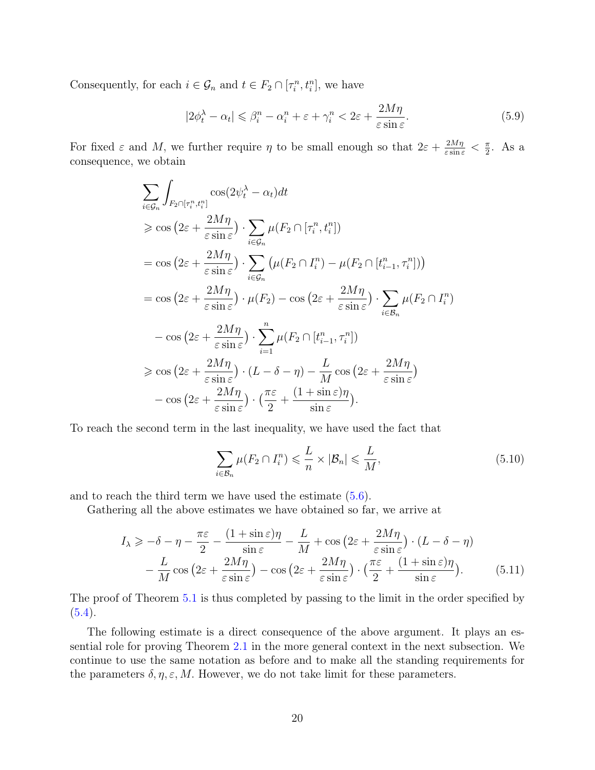Consequently, for each  $i \in \mathcal{G}_n$  and  $t \in F_2 \cap [\tau_i^n, t_i^n]$ , we have

<span id="page-19-0"></span>
$$
|2\phi_t^{\lambda} - \alpha_t| \leq \beta_i^n - \alpha_i^n + \varepsilon + \gamma_i^n < 2\varepsilon + \frac{2M\eta}{\varepsilon \sin \varepsilon}.\tag{5.9}
$$

For fixed  $\varepsilon$  and M, we further require  $\eta$  to be small enough so that  $2\varepsilon + \frac{2M\eta}{\varepsilon \sin \varepsilon} < \frac{\pi}{2}$  $\frac{\pi}{2}$ . As a consequence, we obtain

$$
\sum_{i\in G_n} \int_{F_2 \cap [\tau_i^n, t_i^n]} \cos(2\psi_t^{\lambda} - \alpha_t) dt
$$
\n
$$
\geq \cos\left(2\varepsilon + \frac{2M\eta}{\varepsilon \sin \varepsilon}\right) \cdot \sum_{i\in G_n} \mu(F_2 \cap [\tau_i^n, t_i^n])
$$
\n
$$
= \cos\left(2\varepsilon + \frac{2M\eta}{\varepsilon \sin \varepsilon}\right) \cdot \sum_{i\in G_n} \left(\mu(F_2 \cap I_i^n) - \mu(F_2 \cap [t_{i-1}^n, \tau_i^n])\right)
$$
\n
$$
= \cos\left(2\varepsilon + \frac{2M\eta}{\varepsilon \sin \varepsilon}\right) \cdot \mu(F_2) - \cos\left(2\varepsilon + \frac{2M\eta}{\varepsilon \sin \varepsilon}\right) \cdot \sum_{i\in B_n} \mu(F_2 \cap I_i^n)
$$
\n
$$
- \cos\left(2\varepsilon + \frac{2M\eta}{\varepsilon \sin \varepsilon}\right) \cdot \sum_{i=1}^n \mu(F_2 \cap [t_{i-1}^n, \tau_i^n])
$$
\n
$$
\geq \cos\left(2\varepsilon + \frac{2M\eta}{\varepsilon \sin \varepsilon}\right) \cdot (L - \delta - \eta) - \frac{L}{M} \cos\left(2\varepsilon + \frac{2M\eta}{\varepsilon \sin \varepsilon}\right)
$$
\n
$$
- \cos\left(2\varepsilon + \frac{2M\eta}{\varepsilon \sin \varepsilon}\right) \cdot \left(\frac{\pi\varepsilon}{2} + \frac{(1 + \sin \varepsilon)\eta}{\sin \varepsilon}\right).
$$

To reach the second term in the last inequality, we have used the fact that

<span id="page-19-1"></span>
$$
\sum_{i \in \mathcal{B}_n} \mu(F_2 \cap I_i^n) \leqslant \frac{L}{n} \times |\mathcal{B}_n| \leqslant \frac{L}{M},\tag{5.10}
$$

and to reach the third term we have used the estimate  $(5.6)$ .

Gathering all the above estimates we have obtained so far, we arrive at

$$
I_{\lambda} \geq -\delta - \eta - \frac{\pi \varepsilon}{2} - \frac{(1 + \sin \varepsilon)\eta}{\sin \varepsilon} - \frac{L}{M} + \cos \left(2\varepsilon + \frac{2M\eta}{\varepsilon \sin \varepsilon}\right) \cdot (L - \delta - \eta) - \frac{L}{M} \cos \left(2\varepsilon + \frac{2M\eta}{\varepsilon \sin \varepsilon}\right) - \cos \left(2\varepsilon + \frac{2M\eta}{\varepsilon \sin \varepsilon}\right) \cdot \left(\frac{\pi \varepsilon}{2} + \frac{(1 + \sin \varepsilon)\eta}{\sin \varepsilon}\right).
$$
(5.11)

The proof of Theorem [5.1](#page-14-2) is thus completed by passing to the limit in the order specified by  $(5.4).$  $(5.4).$ 

The following estimate is a direct consequence of the above argument. It plays an essential role for proving Theorem [2.1](#page-5-0) in the more general context in the next subsection. We continue to use the same notation as before and to make all the standing requirements for the parameters  $\delta, \eta, \varepsilon, M$ . However, we do not take limit for these parameters.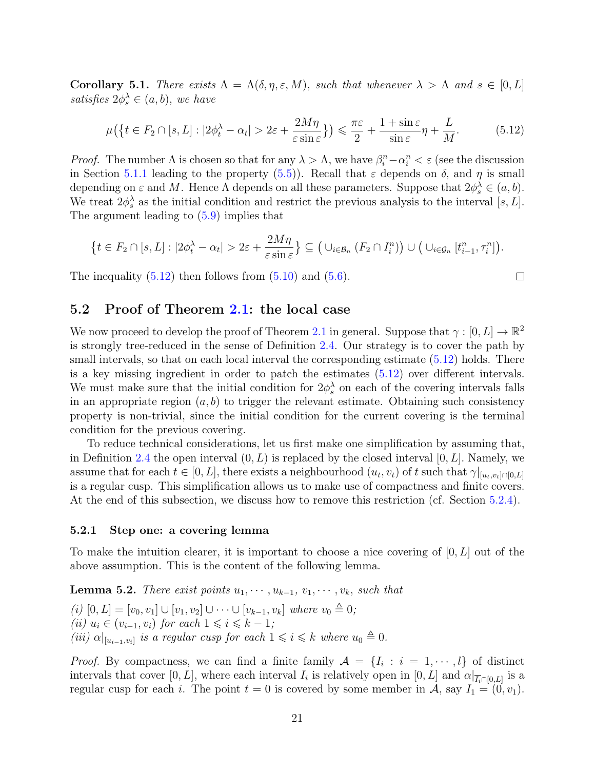<span id="page-20-4"></span>Corollary 5.1. There exists  $\Lambda = \Lambda(\delta, \eta, \varepsilon, M)$ , such that whenever  $\lambda > \Lambda$  and  $s \in [0, L]$ satisfies  $2\phi_s^{\lambda} \in (a, b)$ , we have

<span id="page-20-2"></span>
$$
\mu\big(\big\{t \in F_2 \cap [s, L] : |2\phi_t^{\lambda} - \alpha_t| > 2\varepsilon + \frac{2M\eta}{\varepsilon \sin \varepsilon}\big\}\big) \le \frac{\pi\varepsilon}{2} + \frac{1 + \sin \varepsilon}{\sin \varepsilon}\eta + \frac{L}{M}.\tag{5.12}
$$

*Proof.* The number  $\Lambda$  is chosen so that for any  $\lambda > \Lambda$ , we have  $\beta_i^n - \alpha_i^n < \varepsilon$  (see the discussion in Section [5.1.1](#page-14-1) leading to the property [\(5.5\)](#page-15-4)). Recall that  $\varepsilon$  depends on  $\delta$ , and  $\eta$  is small depending on  $\varepsilon$  and M. Hence  $\Lambda$  depends on all these parameters. Suppose that  $2\phi_s^{\lambda} \in (a, b)$ . We treat  $2\phi_s^{\lambda}$  as the initial condition and restrict the previous analysis to the interval [s, L]. The argument leading to [\(5.9\)](#page-19-0) implies that

$$
\left\{t\in F_2\cap[s,L]:|2\phi_t^{\lambda}-\alpha_t|>2\varepsilon+\frac{2M\eta}{\varepsilon\sin\varepsilon}\right\}\subseteq\left(\cup_{i\in\mathcal{B}_n}(F_2\cap I_i^n)\right)\cup\left(\cup_{i\in\mathcal{G}_n}\left[t_{i-1}^n,\tau_i^n\right]\right).
$$

 $\Box$ 

The inequality  $(5.12)$  then follows from  $(5.10)$  and  $(5.6)$ .

#### <span id="page-20-0"></span>5.2 Proof of Theorem [2.1:](#page-5-0) the local case

We now proceed to develop the proof of Theorem [2.1](#page-5-0) in general. Suppose that  $\gamma : [0, L] \to \mathbb{R}^2$ is strongly tree-reduced in the sense of Definition [2.4.](#page-5-1) Our strategy is to cover the path by small intervals, so that on each local interval the corresponding estimate  $(5.12)$  holds. There is a key missing ingredient in order to patch the estimates [\(5.12\)](#page-20-2) over different intervals. We must make sure that the initial condition for  $2\phi_s^{\lambda}$  on each of the covering intervals falls in an appropriate region  $(a, b)$  to trigger the relevant estimate. Obtaining such consistency property is non-trivial, since the initial condition for the current covering is the terminal condition for the previous covering.

To reduce technical considerations, let us first make one simplification by assuming that, in Definition [2.4](#page-5-1) the open interval  $(0, L)$  is replaced by the closed interval  $[0, L]$ . Namely, we assume that for each  $t \in [0, L]$ , there exists a neighbourhood  $(u_t, v_t)$  of t such that  $\gamma|_{[u_t, v_t] \cap [0, L]}$ is a regular cusp. This simplification allows us to make use of compactness and finite covers. At the end of this subsection, we discuss how to remove this restriction (cf. Section [5.2.4\)](#page-23-0).

#### <span id="page-20-1"></span>5.2.1 Step one: a covering lemma

To make the intuition clearer, it is important to choose a nice covering of  $[0, L]$  out of the above assumption. This is the content of the following lemma.

<span id="page-20-3"></span>**Lemma 5.2.** There exist points  $u_1, \dots, u_{k-1}, v_1, \dots, v_k$ , such that (i)  $[0, L] = [v_0, v_1] \cup [v_1, v_2] \cup \cdots \cup [v_{k-1}, v_k]$  where  $v_0 \triangleq 0$ ; (ii)  $u_i \in (v_{i-1}, v_i)$  for each  $1 \leq i \leq k-1$ ; (iii)  $\alpha|_{[u_{i-1},v_i]}$  is a regular cusp for each  $1 \leqslant i \leqslant k$  where  $u_0 \triangleq 0$ .

*Proof.* By compactness, we can find a finite family  $A = \{I_i : i = 1, \dots, l\}$  of distinct intervals that cover [0, L], where each interval  $I_i$  is relatively open in [0, L] and  $\alpha|_{\overline{I_i} \cap [0,L]}$  is a regular cusp for each i. The point  $t = 0$  is covered by some member in A, say  $I_1 = (0, v_1)$ .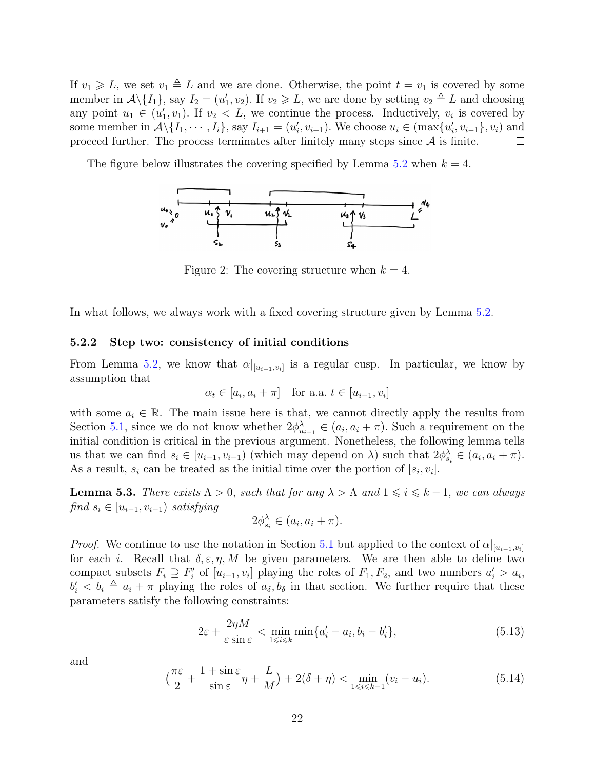If  $v_1 \geq L$ , we set  $v_1 \triangleq L$  and we are done. Otherwise, the point  $t = v_1$  is covered by some member in  $\mathcal{A}\backslash\{I_1\}$ , say  $I_2=(u'_1,v_2)$ . If  $v_2\geq L$ , we are done by setting  $v_2\triangleq L$  and choosing any point  $u_1 \in (u'_1, v_1)$ . If  $v_2 < L$ , we continue the process. Inductively,  $v_i$  is covered by some member in  $\mathcal{A}\backslash\{I_1,\dots, I_i\}$ , say  $I_{i+1}=(u'_i,v_{i+1})$ . We choose  $u_i\in(\max\{u'_i,v_{i-1}\},v_i)$  and proceed further. The process terminates after finitely many steps since  $A$  is finite.  $\Box$ 

The figure below illustrates the covering specified by Lemma [5.2](#page-20-3) when  $k = 4$ .



Figure 2: The covering structure when  $k = 4$ .

In what follows, we always work with a fixed covering structure given by Lemma [5.2.](#page-20-3)

#### <span id="page-21-0"></span>5.2.2 Step two: consistency of initial conditions

From Lemma [5.2,](#page-20-3) we know that  $\alpha|_{[u_{i-1},v_i]}$  is a regular cusp. In particular, we know by assumption that

$$
\alpha_t \in [a_i, a_i + \pi] \quad \text{for a.a. } t \in [u_{i-1}, v_i]
$$

with some  $a_i \in \mathbb{R}$ . The main issue here is that, we cannot directly apply the results from Section [5.1,](#page-14-0) since we do not know whether  $2\phi_{u_{i-1}}^{\lambda} \in (a_i, a_i + \pi)$ . Such a requirement on the initial condition is critical in the previous argument. Nonetheless, the following lemma tells us that we can find  $s_i \in [u_{i-1}, v_{i-1})$  (which may depend on  $\lambda$ ) such that  $2\phi_{s_i}^{\lambda} \in (a_i, a_i + \pi)$ . As a result,  $s_i$  can be treated as the initial time over the portion of  $[s_i, v_i]$ .

**Lemma 5.3.** There exists  $\Lambda > 0$ , such that for any  $\lambda > \Lambda$  and  $1 \leq i \leq k-1$ , we can always find  $s_i \in [u_{i-1}, v_{i-1})$  satisfying

$$
2\phi_{s_i}^{\lambda} \in (a_i, a_i + \pi).
$$

*Proof.* We continue to use the notation in Section [5.1](#page-14-0) but applied to the context of  $\alpha|_{[u_{i-1},v_i]}$ for each i. Recall that  $\delta, \varepsilon, \eta, M$  be given parameters. We are then able to define two compact subsets  $F_i \supseteq F'_i$  of  $[u_{i-1}, v_i]$  playing the roles of  $F_1, F_2$ , and two numbers  $a'_i > a_i$ ,  $b_i' < b_i \triangleq a_i + \pi$  playing the roles of  $a_{\delta}, b_{\delta}$  in that section. We further require that these parameters satisfy the following constraints:

<span id="page-21-2"></span>
$$
2\varepsilon + \frac{2\eta M}{\varepsilon \sin \varepsilon} < \min_{1 \le i \le k} \min \{a_i' - a_i, b_i - b_i'\},\tag{5.13}
$$

and

<span id="page-21-1"></span>
$$
\left(\frac{\pi\varepsilon}{2} + \frac{1+\sin\varepsilon}{\sin\varepsilon}\eta + \frac{L}{M}\right) + 2(\delta + \eta) < \min_{1 \le i \le k-1} (v_i - u_i). \tag{5.14}
$$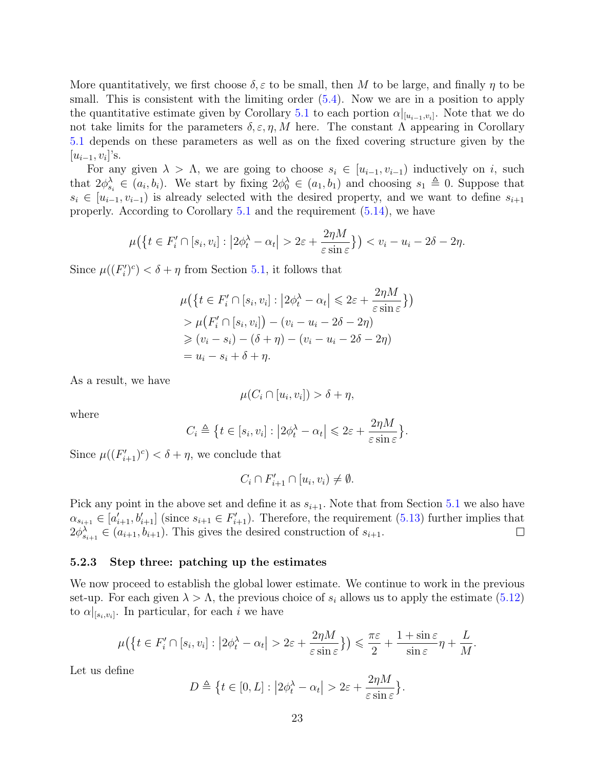More quantitatively, we first choose  $\delta, \varepsilon$  to be small, then M to be large, and finally  $\eta$  to be small. This is consistent with the limiting order  $(5.4)$ . Now we are in a position to apply the quantitative estimate given by Corollary [5.1](#page-20-4) to each portion  $\alpha|_{[u_{i-1}, v_i]}$ . Note that we do not take limits for the parameters  $\delta$ ,  $\varepsilon$ ,  $\eta$ , M here. The constant Λ appearing in Corollary [5.1](#page-20-4) depends on these parameters as well as on the fixed covering structure given by the  $[u_{i-1}, v_i]$ 's.

For any given  $\lambda > \Lambda$ , we are going to choose  $s_i \in [u_{i-1}, v_{i-1}]$  inductively on i, such that  $2\phi_{s_i}^{\lambda} \in (a_i, b_i)$ . We start by fixing  $2\phi_0^{\lambda} \in (a_1, b_1)$  and choosing  $s_1 \triangleq 0$ . Suppose that  $s_i \in [u_{i-1}, v_{i-1}]$  is already selected with the desired property, and we want to define  $s_{i+1}$ properly. According to Corollary [5.1](#page-20-4) and the requirement [\(5.14\)](#page-21-1), we have

$$
\mu\big(\big\{t\in F'_i\cap[s_i,v_i]:\big|2\phi_t^{\lambda}-\alpha_t\big|>2\varepsilon+\frac{2\eta M}{\varepsilon\sin\varepsilon}\big\}\big)
$$

Since  $\mu((F_i')^c) < \delta + \eta$  from Section [5.1,](#page-14-0) it follows that

$$
\mu\left(\left\{t \in F'_i \cap [s_i, v_i] : \left|2\phi_t^{\lambda} - \alpha_t\right| \leq 2\varepsilon + \frac{2\eta M}{\varepsilon \sin \varepsilon}\right\}\right)
$$
  
> 
$$
\mu\left(F'_i \cap [s_i, v_i]\right) - (v_i - u_i - 2\delta - 2\eta)
$$
  
\$\geq (v\_i - s\_i) - (\delta + \eta) - (v\_i - u\_i - 2\delta - 2\eta)\$  
= 
$$
u_i - s_i + \delta + \eta.
$$

As a result, we have

$$
\mu(C_i \cap [u_i, v_i]) > \delta + \eta,
$$

where

$$
C_i \triangleq \{t \in [s_i, v_i] : |2\phi_t^{\lambda} - \alpha_t| \leq 2\varepsilon + \frac{2\eta M}{\varepsilon \sin \varepsilon} \}.
$$

Since  $\mu((F_{i+1}')^c) < \delta + \eta$ , we conclude that

$$
C_i \cap F'_{i+1} \cap [u_i, v_i) \neq \emptyset.
$$

Pick any point in the above set and define it as  $s_{i+1}$ . Note that from Section [5.1](#page-14-0) we also have  $\alpha_{s_{i+1}} \in [a'_{i+1}, b'_{i+1}]$  (since  $s_{i+1} \in F'_{i+1}$ ). Therefore, the requirement [\(5.13\)](#page-21-2) further implies that  $2\phi_{s_{i+1}}^{\lambda} \in (a_{i+1}, b_{i+1})$ . This gives the desired construction of  $s_{i+1}$ .  $\Box$ 

#### <span id="page-22-0"></span>5.2.3 Step three: patching up the estimates

We now proceed to establish the global lower estimate. We continue to work in the previous set-up. For each given  $\lambda > \Lambda$ , the previous choice of  $s_i$  allows us to apply the estimate [\(5.12\)](#page-20-2) to  $\alpha|_{[s_i,v_i]}$ . In particular, for each i we have

$$
\mu\big(\big\{t\in F'_i\cap[s_i,v_i]:\big|2\phi_t^{\lambda}-\alpha_t\big|>2\varepsilon+\frac{2\eta M}{\varepsilon\sin\varepsilon}\big\}\big)\leqslant\frac{\pi\varepsilon}{2}+\frac{1+\sin\varepsilon}{\sin\varepsilon}\eta+\frac{L}{M}.
$$

Let us define

$$
D \triangleq \{ t \in [0, L] : \left| 2\phi_t^{\lambda} - \alpha_t \right| > 2\varepsilon + \frac{2\eta M}{\varepsilon \sin \varepsilon} \}.
$$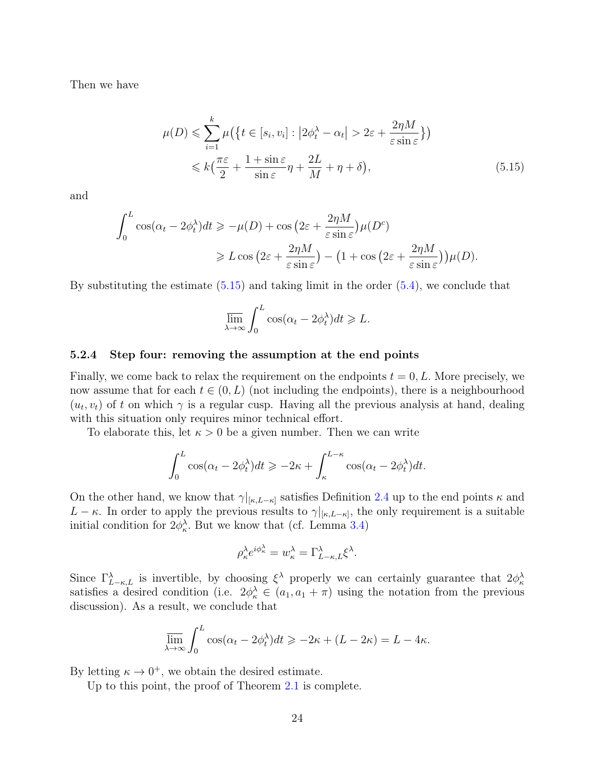Then we have

$$
\mu(D) \leqslant \sum_{i=1}^{k} \mu\big(\big\{t \in [s_i, v_i] : \big|2\phi_t^{\lambda} - \alpha_t\big| > 2\varepsilon + \frac{2\eta M}{\varepsilon \sin \varepsilon}\big\}\big) \leqslant k\big(\frac{\pi\varepsilon}{2} + \frac{1 + \sin \varepsilon}{\sin \varepsilon}\eta + \frac{2L}{M} + \eta + \delta\big),
$$
\n(5.15)

and

$$
\int_0^L \cos(\alpha_t - 2\phi_t^{\lambda}) dt \ge -\mu(D) + \cos\left(2\varepsilon + \frac{2\eta M}{\varepsilon \sin \varepsilon}\right) \mu(D^c)
$$
  
 
$$
\ge L \cos\left(2\varepsilon + \frac{2\eta M}{\varepsilon \sin \varepsilon}\right) - \left(1 + \cos\left(2\varepsilon + \frac{2\eta M}{\varepsilon \sin \varepsilon}\right)\right) \mu(D).
$$

By substituting the estimate [\(5.15\)](#page-23-1) and taking limit in the order [\(5.4\)](#page-15-2), we conclude that

<span id="page-23-1"></span>
$$
\overline{\lim}_{\lambda \to \infty} \int_0^L \cos(\alpha_t - 2\phi_t^{\lambda}) dt \geq L.
$$

#### <span id="page-23-0"></span>5.2.4 Step four: removing the assumption at the end points

Finally, we come back to relax the requirement on the endpoints  $t = 0, L$ . More precisely, we now assume that for each  $t \in (0, L)$  (not including the endpoints), there is a neighbourhood  $(u_t, v_t)$  of t on which  $\gamma$  is a regular cusp. Having all the previous analysis at hand, dealing with this situation only requires minor technical effort.

To elaborate this, let  $\kappa > 0$  be a given number. Then we can write

$$
\int_0^L \cos(\alpha_t - 2\phi_t^{\lambda})dt \ge -2\kappa + \int_{\kappa}^{L-\kappa} \cos(\alpha_t - 2\phi_t^{\lambda})dt.
$$

On the other hand, we know that  $\gamma|_{[\kappa,L-\kappa]}$  satisfies Definition [2.4](#page-5-1) up to the end points  $\kappa$  and  $L - \kappa$ . In order to apply the previous results to  $\gamma|_{\kappa,L-\kappa}$ , the only requirement is a suitable initial condition for  $2\phi_{\kappa}^{\lambda}$ . But we know that (cf. Lemma [3.4\)](#page-9-0)

$$
\rho_{\kappa}^{\lambda}e^{i\phi_{\kappa}^{\lambda}}=w_{\kappa}^{\lambda}=\Gamma_{L-\kappa,L}^{\lambda}\xi^{\lambda}.
$$

Since  $\Gamma_{L-\kappa,L}^{\lambda}$  is invertible, by choosing  $\xi^{\lambda}$  properly we can certainly guarantee that  $2\phi_{\kappa}^{\lambda}$ satisfies a desired condition (i.e.  $2\phi_{\kappa}^{\lambda} \in (a_1, a_1 + \pi)$  using the notation from the previous discussion). As a result, we conclude that

$$
\overline{\lim}_{\lambda \to \infty} \int_0^L \cos(\alpha_t - 2\phi_t^{\lambda}) dt \ge -2\kappa + (L - 2\kappa) = L - 4\kappa.
$$

By letting  $\kappa \to 0^+$ , we obtain the desired estimate.

Up to this point, the proof of Theorem [2.1](#page-5-0) is complete.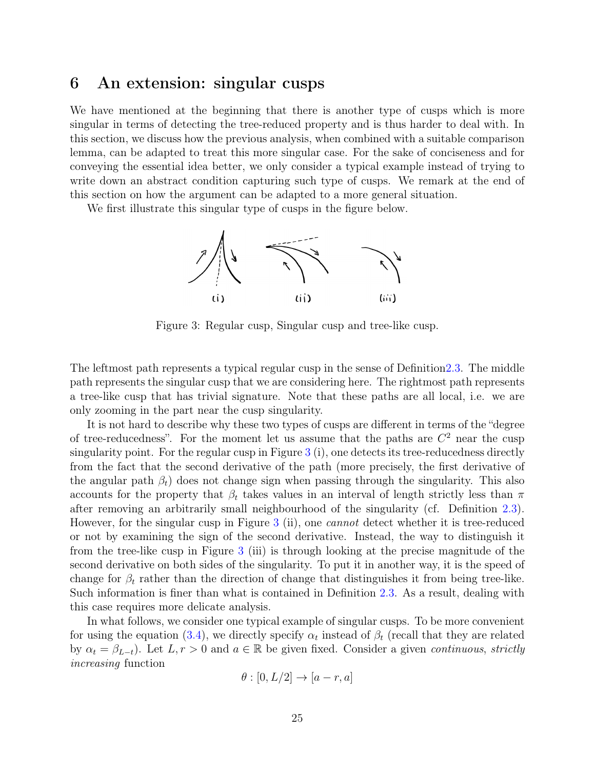### <span id="page-24-0"></span>6 An extension: singular cusps

We have mentioned at the beginning that there is another type of cusps which is more singular in terms of detecting the tree-reduced property and is thus harder to deal with. In this section, we discuss how the previous analysis, when combined with a suitable comparison lemma, can be adapted to treat this more singular case. For the sake of conciseness and for conveying the essential idea better, we only consider a typical example instead of trying to write down an abstract condition capturing such type of cusps. We remark at the end of this section on how the argument can be adapted to a more general situation.

We first illustrate this singular type of cusps in the figure below.

<span id="page-24-1"></span>

Figure 3: Regular cusp, Singular cusp and tree-like cusp.

The leftmost path represents a typical regular cusp in the sense of Definitio[n2.3.](#page-4-1) The middle path represents the singular cusp that we are considering here. The rightmost path represents a tree-like cusp that has trivial signature. Note that these paths are all local, i.e. we are only zooming in the part near the cusp singularity.

It is not hard to describe why these two types of cusps are different in terms of the "degree of tree-reducedness". For the moment let us assume that the paths are  $C^2$  near the cusp singularity point. For the regular cusp in Figure [3](#page-24-1) (i), one detects its tree-reducedness directly from the fact that the second derivative of the path (more precisely, the first derivative of the angular path  $\beta_t$ ) does not change sign when passing through the singularity. This also accounts for the property that  $\beta_t$  takes values in an interval of length strictly less than  $\pi$ after removing an arbitrarily small neighbourhood of the singularity (cf. Definition [2.3\)](#page-4-1). However, for the singular cusp in Figure [3](#page-24-1) (ii), one cannot detect whether it is tree-reduced or not by examining the sign of the second derivative. Instead, the way to distinguish it from the tree-like cusp in Figure [3](#page-24-1) (iii) is through looking at the precise magnitude of the second derivative on both sides of the singularity. To put it in another way, it is the speed of change for  $\beta_t$  rather than the direction of change that distinguishes it from being tree-like. Such information is finer than what is contained in Definition [2.3.](#page-4-1) As a result, dealing with this case requires more delicate analysis.

In what follows, we consider one typical example of singular cusps. To be more convenient for using the equation [\(3.4\)](#page-9-0), we directly specify  $\alpha_t$  instead of  $\beta_t$  (recall that they are related by  $\alpha_t = \beta_{L-t}$ . Let  $L, r > 0$  and  $a \in \mathbb{R}$  be given fixed. Consider a given *continuous, strictly* increasing function

$$
\theta : [0, L/2] \to [a-r, a]
$$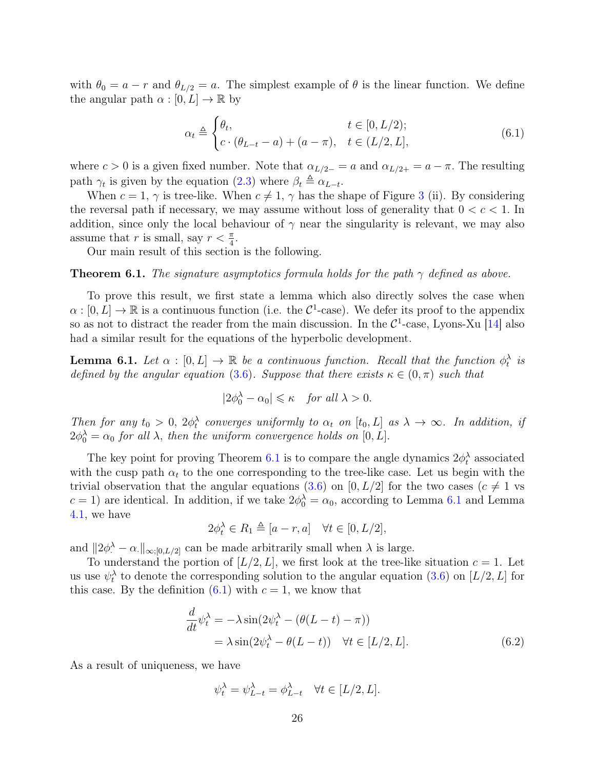with  $\theta_0 = a - r$  and  $\theta_{L/2} = a$ . The simplest example of  $\theta$  is the linear function. We define the angular path  $\alpha : [0, L] \to \mathbb{R}$  by

<span id="page-25-2"></span>
$$
\alpha_t \triangleq \begin{cases} \theta_t, & t \in [0, L/2); \\ c \cdot (\theta_{L-t} - a) + (a - \pi), & t \in (L/2, L], \end{cases}
$$
(6.1)

where  $c > 0$  is a given fixed number. Note that  $\alpha_{L/2-} = a$  and  $\alpha_{L/2+} = a - \pi$ . The resulting path  $\gamma_t$  is given by the equation [\(2.3\)](#page-3-3) where  $\beta_t \triangleq \alpha_{L-t}$ .

When  $c = 1$ ,  $\gamma$  is tree-like. When  $c \neq 1$ ,  $\gamma$  has the shape of Figure [3](#page-24-1) (ii). By considering the reversal path if necessary, we may assume without loss of generality that  $0 < c < 1$ . In addition, since only the local behaviour of  $\gamma$  near the singularity is relevant, we may also assume that r is small, say  $r < \frac{\pi}{4}$ .

Our main result of this section is the following.

#### <span id="page-25-1"></span>**Theorem 6.1.** The signature asymptotics formula holds for the path  $\gamma$  defined as above.

To prove this result, we first state a lemma which also directly solves the case when  $\alpha : [0, L] \to \mathbb{R}$  is a continuous function (i.e. the  $\mathcal{C}^1$ -case). We defer its proof to the appendix so as not to distract the reader from the main discussion. In the  $C^1$ -case, Lyons-Xu [\[14\]](#page-33-9) also had a similar result for the equations of the hyperbolic development.

<span id="page-25-0"></span>**Lemma 6.1.** Let  $\alpha : [0, L] \to \mathbb{R}$  be a continuous function. Recall that the function  $\phi_t^{\lambda}$  is defined by the angular equation [\(3.6\)](#page-9-3). Suppose that there exists  $\kappa \in (0, \pi)$  such that

$$
|2\phi_0^\lambda-\alpha_0|\leqslant \kappa\quad \textit{for all}\ \lambda>0.
$$

Then for any  $t_0 > 0$ ,  $2\phi_t^{\lambda}$  converges uniformly to  $\alpha_t$  on  $[t_0, L]$  as  $\lambda \to \infty$ . In addition, if  $2\phi_0^{\lambda} = \alpha_0$  for all  $\lambda$ , then the uniform convergence holds on [0, L].

The key point for proving Theorem [6.1](#page-25-1) is to compare the angle dynamics  $2\phi_t^{\lambda}$  associated with the cusp path  $\alpha_t$  to the one corresponding to the tree-like case. Let us begin with the trivial observation that the angular equations [\(3.6\)](#page-9-3) on [0, L/2] for the two cases ( $c \neq 1$  vs  $c = 1$ ) are identical. In addition, if we take  $2\phi_0^{\lambda} = \alpha_0$ , according to Lemma [6.1](#page-25-0) and Lemma [4.1,](#page-11-1) we have

$$
2\phi_t^{\lambda} \in R_1 \triangleq [a-r, a] \quad \forall t \in [0, L/2],
$$

and  $||2\phi^{\lambda} - \alpha||_{\infty,[0,L/2]}$  can be made arbitrarily small when  $\lambda$  is large.

To understand the portion of  $[L/2, L]$ , we first look at the tree-like situation  $c = 1$ . Let us use  $\psi_t^{\lambda}$  to denote the corresponding solution to the angular equation [\(3.6\)](#page-9-3) on [L/2, L] for this case. By the definition  $(6.1)$  with  $c = 1$ , we know that

$$
\frac{d}{dt}\psi_t^{\lambda} = -\lambda \sin(2\psi_t^{\lambda} - (\theta(L - t) - \pi))
$$
  
=  $\lambda \sin(2\psi_t^{\lambda} - \theta(L - t)) \quad \forall t \in [L/2, L].$  (6.2)

As a result of uniqueness, we have

<span id="page-25-3"></span>
$$
\psi_t^{\lambda} = \psi_{L-t}^{\lambda} = \phi_{L-t}^{\lambda} \quad \forall t \in [L/2, L].
$$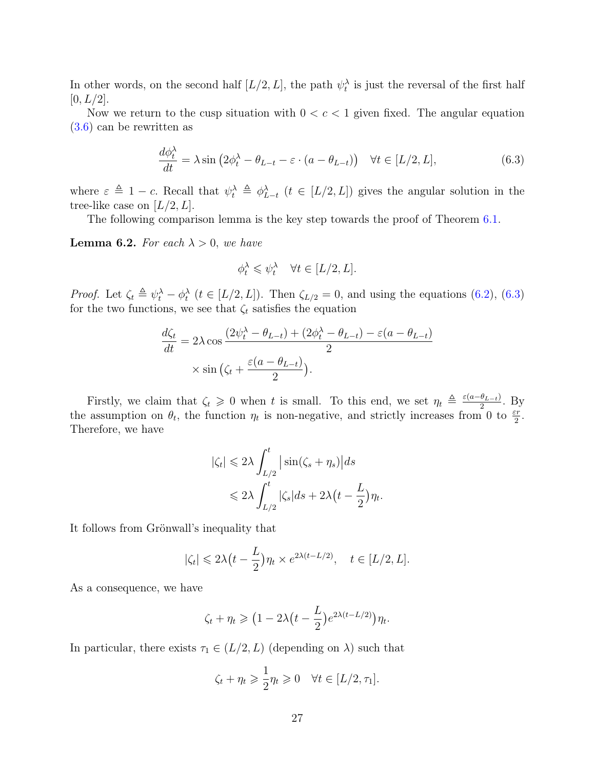In other words, on the second half  $[L/2, L]$ , the path  $\psi_t^{\lambda}$  is just the reversal of the first half  $[0, L/2]$ .

Now we return to the cusp situation with  $0 < c < 1$  given fixed. The angular equation [\(3.6\)](#page-9-3) can be rewritten as

<span id="page-26-0"></span>
$$
\frac{d\phi_t^{\lambda}}{dt} = \lambda \sin \left(2\phi_t^{\lambda} - \theta_{L-t} - \varepsilon \cdot (a - \theta_{L-t})\right) \quad \forall t \in [L/2, L],
$$
\n(6.3)

where  $\varepsilon \triangleq 1 - c$ . Recall that  $\psi_t^{\lambda} \triangleq \psi_{L-t}^{\lambda}$   $(t \in [L/2, L])$  gives the angular solution in the tree-like case on  $[L/2, L]$ .

The following comparison lemma is the key step towards the proof of Theorem [6.1.](#page-25-1)

<span id="page-26-1"></span>**Lemma 6.2.** For each  $\lambda > 0$ , we have

$$
\phi_t^\lambda \leqslant \psi_t^\lambda \quad \forall t \in [L/2,L].
$$

*Proof.* Let  $\zeta_t \triangleq \psi_t^{\lambda} - \phi_t^{\lambda}$   $(t \in [L/2, L])$ . Then  $\zeta_{L/2} = 0$ , and using the equations [\(6.2\)](#page-25-3), [\(6.3\)](#page-26-0) for the two functions, we see that  $\zeta_t$  satisfies the equation

$$
\frac{d\zeta_t}{dt} = 2\lambda \cos \frac{(2\psi_t^{\lambda} - \theta_{L-t}) + (2\phi_t^{\lambda} - \theta_{L-t}) - \varepsilon (a - \theta_{L-t})}{2}
$$

$$
\times \sin \left(\zeta_t + \frac{\varepsilon (a - \theta_{L-t})}{2}\right).
$$

Firstly, we claim that  $\zeta_t \geq 0$  when t is small. To this end, we set  $\eta_t \triangleq \frac{\varepsilon(a-\theta_{L-t})}{2}$  $\frac{\theta_{L-t}}{2}$ . By the assumption on  $\theta_t$ , the function  $\eta_t$  is non-negative, and strictly increases from 0 to  $\frac{\varepsilon r}{2}$ . Therefore, we have

$$
|\zeta_t| \leq 2\lambda \int_{L/2}^t \left| \sin(\zeta_s + \eta_s) \right| ds
$$
  

$$
\leq 2\lambda \int_{L/2}^t |\zeta_s| ds + 2\lambda \left( t - \frac{L}{2} \right) \eta_t.
$$

It follows from Grönwall's inequality that

$$
|\zeta_t| \leq 2\lambda \left( t - \frac{L}{2} \right) \eta_t \times e^{2\lambda (t - L/2)}, \quad t \in [L/2, L].
$$

As a consequence, we have

$$
\zeta_t + \eta_t \geq (1 - 2\lambda \left( t - \frac{L}{2} \right) e^{2\lambda (t - L/2)}) \eta_t.
$$

In particular, there exists  $\tau_1 \in (L/2, L)$  (depending on  $\lambda$ ) such that

$$
\zeta_t + \eta_t \geqslant \frac{1}{2} \eta_t \geqslant 0 \quad \forall t \in [L/2, \tau_1].
$$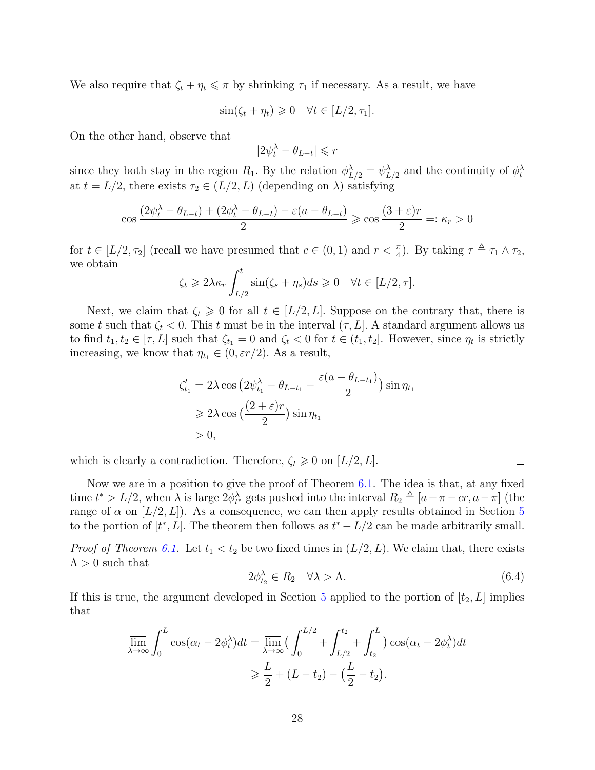We also require that  $\zeta_t + \eta_t \leq \pi$  by shrinking  $\tau_1$  if necessary. As a result, we have

$$
\sin(\zeta_t + \eta_t) \geq 0 \quad \forall t \in [L/2, \tau_1].
$$

On the other hand, observe that

$$
|2\psi_t^{\lambda} - \theta_{L-t}| \leqslant r
$$

since they both stay in the region  $R_1$ . By the relation  $\phi_{L/2}^{\lambda} = \psi_{L/2}^{\lambda}$  and the continuity of  $\phi_t^{\lambda}$ at  $t = L/2$ , there exists  $\tau_2 \in (L/2, L)$  (depending on  $\lambda$ ) satisfying

$$
\cos\frac{(2\psi_t^{\lambda} - \theta_{L-t}) + (2\phi_t^{\lambda} - \theta_{L-t}) - \varepsilon(a - \theta_{L-t})}{2} \ge \cos\frac{(3 + \varepsilon)r}{2} =: \kappa_r > 0
$$

for  $t \in [L/2, \tau_2]$  (recall we have presumed that  $c \in (0, 1)$  and  $r < \frac{\pi}{4}$ ). By taking  $\tau \triangleq \tau_1 \wedge \tau_2$ , we obtain

$$
\zeta_t \geq 2\lambda \kappa_r \int_{L/2}^t \sin(\zeta_s + \eta_s) ds \geq 0 \quad \forall t \in [L/2, \tau].
$$

Next, we claim that  $\zeta_t \geq 0$  for all  $t \in [L/2, L]$ . Suppose on the contrary that, there is some t such that  $\zeta_t < 0$ . This t must be in the interval  $(\tau, L]$ . A standard argument allows us to find  $t_1, t_2 \in [\tau, L]$  such that  $\zeta_{t_1} = 0$  and  $\zeta_t < 0$  for  $t \in (t_1, t_2]$ . However, since  $\eta_t$  is strictly increasing, we know that  $\eta_{t_1} \in (0, \varepsilon r/2)$ . As a result,

$$
\zeta'_{t_1} = 2\lambda \cos \left(2\psi_{t_1}^{\lambda} - \theta_{L-t_1} - \frac{\varepsilon (a - \theta_{L-t_1})}{2}\right) \sin \eta_{t_1}
$$
  
\n
$$
\geq 2\lambda \cos \left(\frac{(2 + \varepsilon)r}{2}\right) \sin \eta_{t_1}
$$
  
\n
$$
> 0,
$$

which is clearly a contradiction. Therefore,  $\zeta_t \geq 0$  on  $[L/2, L]$ .

Now we are in a position to give the proof of Theorem [6.1.](#page-25-1) The idea is that, at any fixed time  $t^* > L/2$ , when  $\lambda$  is large  $2\phi_{t^*}^{\lambda}$  gets pushed into the interval  $R_2 \triangleq [a - \pi - cr, a - \pi]$  (the range of  $\alpha$  on  $[L/2, L]$ ). As a consequence, we can then apply results obtained in Section [5](#page-13-0) to the portion of  $[t^*, L]$ . The theorem then follows as  $t^* - L/2$  can be made arbitrarily small.

*Proof of Theorem [6.1.](#page-25-1)* Let  $t_1 < t_2$  be two fixed times in  $(L/2, L)$ . We claim that, there exists  $\Lambda > 0$  such that

<span id="page-27-0"></span>
$$
2\phi_{t_2}^{\lambda} \in R_2 \quad \forall \lambda > \Lambda. \tag{6.4}
$$

 $\Box$ 

If this is true, the argument developed in Section [5](#page-13-0) applied to the portion of  $[t_2, L]$  implies that

$$
\overline{\lim}_{\lambda \to \infty} \int_0^L \cos(\alpha_t - 2\phi_t^{\lambda}) dt = \overline{\lim}_{\lambda \to \infty} \left( \int_0^{L/2} + \int_{L/2}^{t_2} + \int_{t_2}^L \right) \cos(\alpha_t - 2\phi_t^{\lambda}) dt
$$

$$
\geq \frac{L}{2} + (L - t_2) - \left(\frac{L}{2} - t_2\right).
$$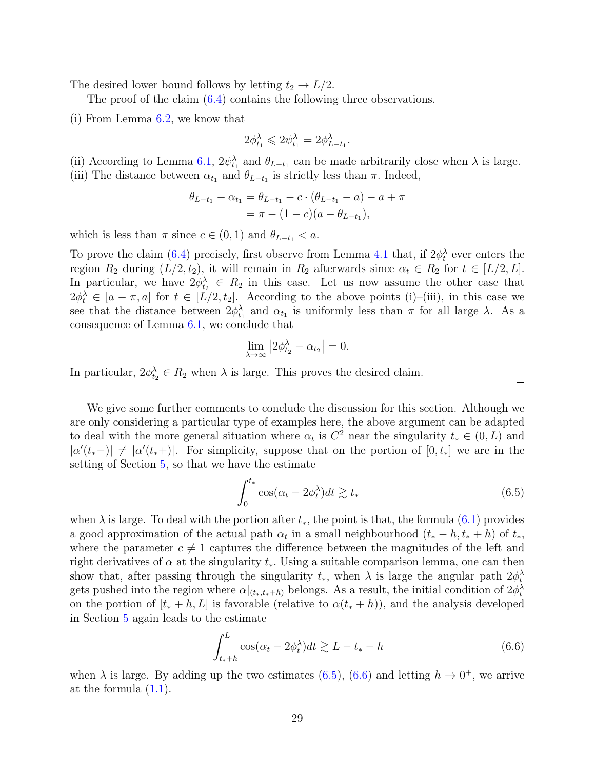The desired lower bound follows by letting  $t_2 \rightarrow L/2$ .

The proof of the claim [\(6.4\)](#page-27-0) contains the following three observations.

(i) From Lemma [6.2,](#page-26-1) we know that

$$
2\phi_{t_1}^\lambda\leqslant 2\psi_{t_1}^\lambda=2\phi_{L-t_1}^\lambda.
$$

(ii) According to Lemma [6.1,](#page-25-0)  $2\psi_{t_1}^{\lambda}$  and  $\theta_{L-t_1}$  can be made arbitrarily close when  $\lambda$  is large. (iii) The distance between  $\alpha_{t_1}$  and  $\theta_{L-t_1}$  is strictly less than  $\pi$ . Indeed,

$$
\theta_{L-t_1} - \alpha_{t_1} = \theta_{L-t_1} - c \cdot (\theta_{L-t_1} - a) - a + \pi
$$
  
=  $\pi - (1 - c)(a - \theta_{L-t_1}),$ 

which is less than  $\pi$  since  $c \in (0, 1)$  and  $\theta_{L-t_1} < a$ .

To prove the claim [\(6.4\)](#page-27-0) precisely, first observe from Lemma [4.1](#page-11-1) that, if  $2\phi_t^{\lambda}$  ever enters the region  $R_2$  during  $(L/2, t_2)$ , it will remain in  $R_2$  afterwards since  $\alpha_t \in R_2$  for  $t \in [L/2, L]$ . In particular, we have  $2\phi_{t_2}^{\lambda} \in R_2$  in this case. Let us now assume the other case that  $2\phi_t^{\lambda} \in [a - \pi, a]$  for  $t \in [L/2, t_2]$ . According to the above points (i)–(iii), in this case we see that the distance between  $2\phi_{t_1}^{\lambda}$  and  $\alpha_{t_1}$  is uniformly less than  $\pi$  for all large  $\lambda$ . As a consequence of Lemma [6.1,](#page-25-0) we conclude that

$$
\lim_{\lambda \to \infty} \left| 2\phi_{t_2}^{\lambda} - \alpha_{t_2} \right| = 0.
$$

In particular,  $2\phi_{t_2}^{\lambda} \in R_2$  when  $\lambda$  is large. This proves the desired claim.

We give some further comments to conclude the discussion for this section. Although we are only considering a particular type of examples here, the above argument can be adapted to deal with the more general situation where  $\alpha_t$  is  $C^2$  near the singularity  $t_* \in (0, L)$  and  $|\alpha'(t_{*}-)| \neq |\alpha'(t_{*}+)|$ . For simplicity, suppose that on the portion of  $[0, t_{*}]$  we are in the setting of Section [5,](#page-13-0) so that we have the estimate

<span id="page-28-0"></span>
$$
\int_0^{t_*} \cos(\alpha_t - 2\phi_t^{\lambda}) dt \gtrsim t_* \tag{6.5}
$$

 $\Box$ 

when  $\lambda$  is large. To deal with the portion after  $t_*,$  the point is that, the formula [\(6.1\)](#page-25-2) provides a good approximation of the actual path  $\alpha_t$  in a small neighbourhood  $(t_* - h, t_* + h)$  of  $t_*,$ where the parameter  $c \neq 1$  captures the difference between the magnitudes of the left and right derivatives of  $\alpha$  at the singularity  $t_*$ . Using a suitable comparison lemma, one can then show that, after passing through the singularity  $t_*$ , when  $\lambda$  is large the angular path  $2\phi_t^{\lambda}$ gets pushed into the region where  $\alpha|_{(t_*,t_*+h)}$  belongs. As a result, the initial condition of  $2\phi_t^{\lambda}$ on the portion of  $[t_* + h, L]$  is favorable (relative to  $\alpha(t_* + h)$ ), and the analysis developed in Section [5](#page-13-0) again leads to the estimate

<span id="page-28-1"></span>
$$
\int_{t_*+h}^{L} \cos(\alpha_t - 2\phi_t^{\lambda}) dt \gtrsim L - t_* - h \tag{6.6}
$$

when  $\lambda$  is large. By adding up the two estimates [\(6.5\)](#page-28-0), [\(6.6\)](#page-28-1) and letting  $h \to 0^+$ , we arrive at the formula [\(1.1\)](#page-2-0).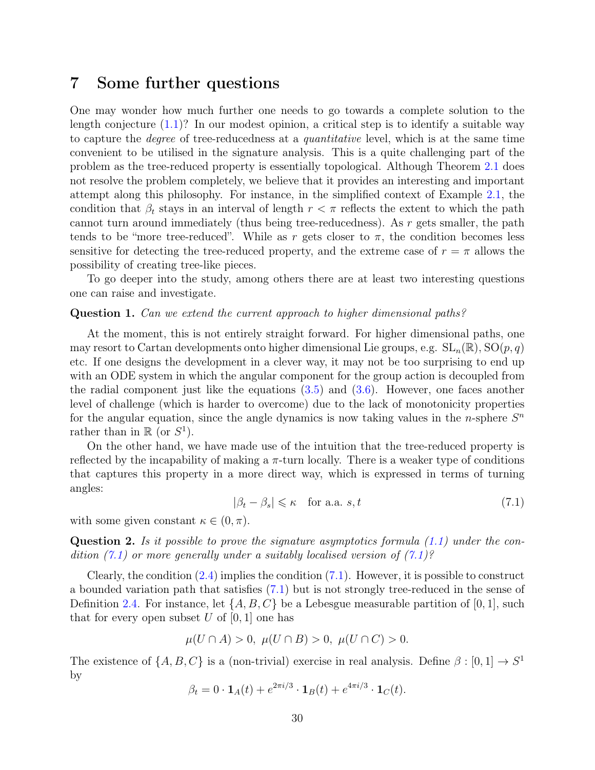## <span id="page-29-0"></span>7 Some further questions

One may wonder how much further one needs to go towards a complete solution to the length conjecture  $(1.1)$ ? In our modest opinion, a critical step is to identify a suitable way to capture the degree of tree-reducedness at a quantitative level, which is at the same time convenient to be utilised in the signature analysis. This is a quite challenging part of the problem as the tree-reduced property is essentially topological. Although Theorem [2.1](#page-5-0) does not resolve the problem completely, we believe that it provides an interesting and important attempt along this philosophy. For instance, in the simplified context of Example [2.1,](#page-5-2) the condition that  $\beta_t$  stays in an interval of length  $r < \pi$  reflects the extent to which the path cannot turn around immediately (thus being tree-reducedness). As r gets smaller, the path tends to be "more tree-reduced". While as r gets closer to  $\pi$ , the condition becomes less sensitive for detecting the tree-reduced property, and the extreme case of  $r = \pi$  allows the possibility of creating tree-like pieces.

To go deeper into the study, among others there are at least two interesting questions one can raise and investigate.

#### Question 1. Can we extend the current approach to higher dimensional paths?

At the moment, this is not entirely straight forward. For higher dimensional paths, one may resort to Cartan developments onto higher dimensional Lie groups, e.g.  $SL_n(\mathbb{R}), SO(p,q)$ etc. If one designs the development in a clever way, it may not be too surprising to end up with an ODE system in which the angular component for the group action is decoupled from the radial component just like the equations  $(3.5)$  and  $(3.6)$ . However, one faces another level of challenge (which is harder to overcome) due to the lack of monotonicity properties for the angular equation, since the angle dynamics is now taking values in the *n*-sphere  $S<sup>n</sup>$ rather than in  $\mathbb{R}$  (or  $S^1$ ).

On the other hand, we have made use of the intuition that the tree-reduced property is reflected by the incapability of making a  $\pi$ -turn locally. There is a weaker type of conditions that captures this property in a more direct way, which is expressed in terms of turning angles:

<span id="page-29-1"></span>
$$
|\beta_t - \beta_s| \le \kappa \quad \text{for a.a. } s, t \tag{7.1}
$$

with some given constant  $\kappa \in (0, \pi)$ .

**Question 2.** Is it possible to prove the signature asymptotics formula  $(1.1)$  under the condition  $(7.1)$  or more generally under a suitably localised version of  $(7.1)$ ?

Clearly, the condition  $(2.4)$  implies the condition  $(7.1)$ . However, it is possible to construct a bounded variation path that satisfies [\(7.1\)](#page-29-1) but is not strongly tree-reduced in the sense of Definition [2.4.](#page-5-1) For instance, let  $\{A, B, C\}$  be a Lebesgue measurable partition of [0, 1], such that for every open subset U of  $[0, 1]$  one has

$$
\mu(U \cap A) > 0, \ \mu(U \cap B) > 0, \ \mu(U \cap C) > 0.
$$

The existence of  $\{A, B, C\}$  is a (non-trivial) exercise in real analysis. Define  $\beta : [0, 1] \to S^1$ by

$$
\beta_t = 0 \cdot \mathbf{1}_A(t) + e^{2\pi i/3} \cdot \mathbf{1}_B(t) + e^{4\pi i/3} \cdot \mathbf{1}_C(t).
$$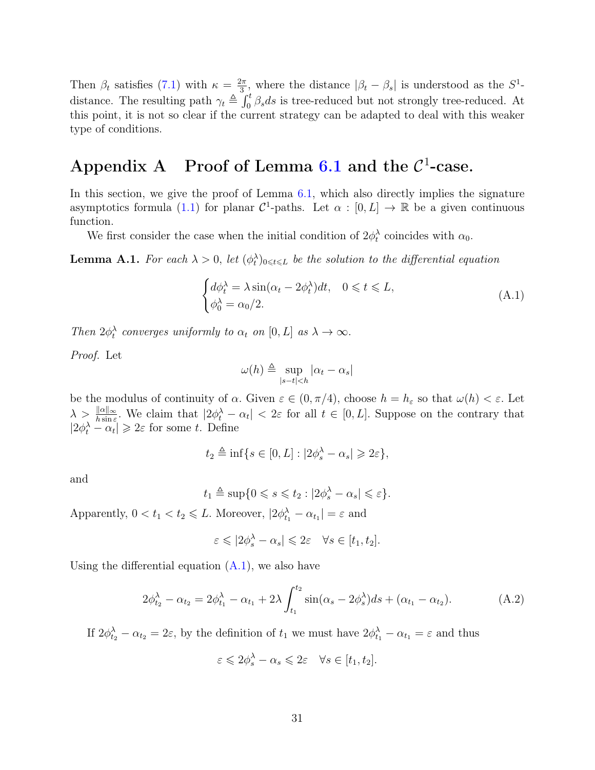Then  $\beta_t$  satisfies [\(7.1\)](#page-29-1) with  $\kappa = \frac{2\pi}{3}$  $\frac{2\pi}{3}$ , where the distance  $|\beta_t - \beta_s|$  is understood as the  $S^1$ distance. The resulting path  $\gamma_t \triangleq \int_0^t \beta_s ds$  is tree-reduced but not strongly tree-reduced. At this point, it is not so clear if the current strategy can be adapted to deal with this weaker type of conditions.

## <span id="page-30-0"></span>Appendix A Proof of Lemma [6.1](#page-25-0) and the  $\mathcal{C}^1$ -case.

In this section, we give the proof of Lemma [6.1,](#page-25-0) which also directly implies the signature asymptotics formula [\(1.1\)](#page-2-0) for planar  $\mathcal{C}^1$ -paths. Let  $\alpha : [0, L] \to \mathbb{R}$  be a given continuous function.

We first consider the case when the initial condition of  $2\phi_t^{\lambda}$  coincides with  $\alpha_0$ .

<span id="page-30-3"></span>**Lemma A.1.** For each  $\lambda > 0$ , let  $(\phi_t^{\lambda})_{0 \leq t \leq L}$  be the solution to the differential equation

<span id="page-30-1"></span>
$$
\begin{cases} d\phi_t^{\lambda} = \lambda \sin(\alpha_t - 2\phi_t^{\lambda})dt, & 0 \leq t \leq L, \\ \phi_0^{\lambda} = \alpha_0/2. \end{cases}
$$
 (A.1)

Then  $2\phi_t^{\lambda}$  converges uniformly to  $\alpha_t$  on  $[0, L]$  as  $\lambda \to \infty$ .

Proof. Let

$$
\omega(h) \triangleq \sup_{|s-t| < h} |\alpha_t - \alpha_s|
$$

be the modulus of continuity of  $\alpha$ . Given  $\varepsilon \in (0, \pi/4)$ , choose  $h = h_{\varepsilon}$  so that  $\omega(h) < \varepsilon$ . Let  $\lambda > \frac{\|\alpha\|_{\infty}}{h \sin \epsilon}$ . We claim that  $|2\phi_t^{\lambda} - \alpha_t| < 2\epsilon$  for all  $t \in [0, L]$ . Suppose on the contrary that  $|2\phi_t^{\lambda} - \alpha_t| \geq 2\varepsilon$  for some t. Define

$$
t_2 \triangleq \inf\{s \in [0,L] : |2\phi_s^{\lambda} - \alpha_s| \geqslant 2\varepsilon\},\
$$

and

$$
t_1 \triangleq \sup\{0 \leq s \leq t_2 : |2\phi_s^{\lambda} - \alpha_s| \leq \varepsilon\}.
$$

Apparently,  $0 < t_1 < t_2 \le L$ . Moreover,  $|2\phi_{t_1}^{\lambda} - \alpha_{t_1}| = \varepsilon$  and

$$
\varepsilon \leqslant |2\phi_s^{\lambda} - \alpha_s| \leqslant 2\varepsilon \quad \forall s \in [t_1, t_2].
$$

Using the differential equation  $(A.1)$ , we also have

<span id="page-30-2"></span>
$$
2\phi_{t_2}^{\lambda} - \alpha_{t_2} = 2\phi_{t_1}^{\lambda} - \alpha_{t_1} + 2\lambda \int_{t_1}^{t_2} \sin(\alpha_s - 2\phi_s^{\lambda}) ds + (\alpha_{t_1} - \alpha_{t_2}).
$$
 (A.2)

If  $2\phi_{t_2}^{\lambda} - \alpha_{t_2} = 2\varepsilon$ , by the definition of  $t_1$  we must have  $2\phi_{t_1}^{\lambda} - \alpha_{t_1} = \varepsilon$  and thus

$$
\varepsilon \leqslant 2\phi_s^{\lambda} - \alpha_s \leqslant 2\varepsilon \quad \forall s \in [t_1, t_2].
$$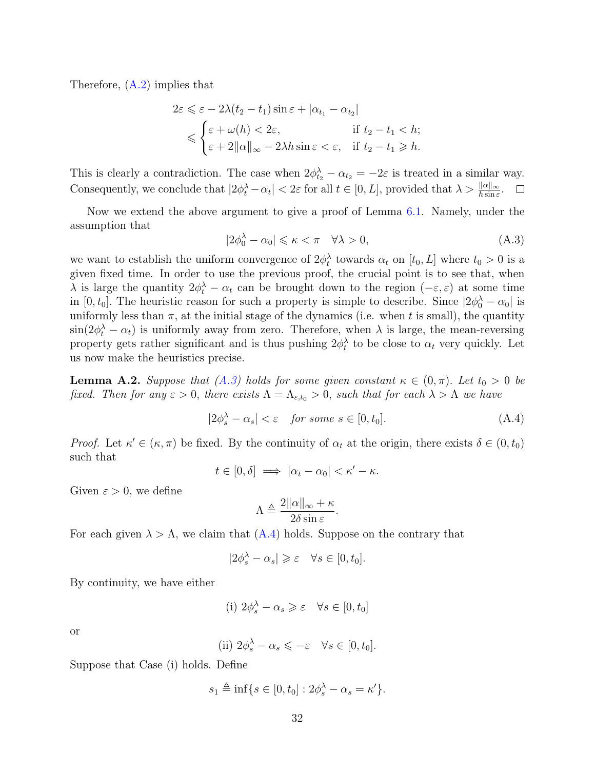Therefore, [\(A.2\)](#page-30-2) implies that

$$
2\varepsilon \leq \varepsilon - 2\lambda(t_2 - t_1)\sin \varepsilon + |\alpha_{t_1} - \alpha_{t_2}|
$$
  

$$
\leq \begin{cases} \varepsilon + \omega(h) < 2\varepsilon, \\ \varepsilon + 2\|\alpha\|_{\infty} - 2\lambda h \sin \varepsilon < \varepsilon, \quad \text{if } t_2 - t_1 \geq h. \end{cases}
$$

This is clearly a contradiction. The case when  $2\phi_{t_2}^{\lambda} - \alpha_{t_2} = -2\varepsilon$  is treated in a similar way. Consequently, we conclude that  $|2\phi_t^{\lambda} - \alpha_t| < 2\varepsilon$  for all  $t \in [0, L]$ , provided that  $\lambda > \frac{\|\alpha\|_{\infty}}{h \sin \varepsilon}$ .  $\Box$ 

Now we extend the above argument to give a proof of Lemma [6.1.](#page-25-0) Namely, under the assumption that

<span id="page-31-0"></span>
$$
|2\phi_0^\lambda - \alpha_0| \leqslant \kappa < \pi \quad \forall \lambda > 0,\tag{A.3}
$$

we want to establish the uniform convergence of  $2\phi_t^{\lambda}$  towards  $\alpha_t$  on  $[t_0, L]$  where  $t_0 > 0$  is a given fixed time. In order to use the previous proof, the crucial point is to see that, when  $\lambda$  is large the quantity  $2\phi_t^{\lambda} - \alpha_t$  can be brought down to the region  $(-\varepsilon, \varepsilon)$  at some time in [0,  $t_0$ ]. The heuristic reason for such a property is simple to describe. Since  $|2\phi_0^{\lambda} - \alpha_0|$  is uniformly less than  $\pi$ , at the initial stage of the dynamics (i.e. when t is small), the quantity  $\sin(2\phi_t^{\lambda} - \alpha_t)$  is uniformly away from zero. Therefore, when  $\lambda$  is large, the mean-reversing property gets rather significant and is thus pushing  $2\phi_t^{\lambda}$  to be close to  $\alpha_t$  very quickly. Let us now make the heuristics precise.

<span id="page-31-2"></span>**Lemma A.2.** Suppose that [\(A.3\)](#page-31-0) holds for some given constant  $\kappa \in (0, \pi)$ . Let  $t_0 > 0$  be fixed. Then for any  $\varepsilon > 0$ , there exists  $\Lambda = \Lambda_{\varepsilon,t_0} > 0$ , such that for each  $\lambda > \Lambda$  we have

<span id="page-31-1"></span>
$$
|2\phi_s^{\lambda} - \alpha_s| < \varepsilon \quad \text{for some } s \in [0, t_0]. \tag{A.4}
$$

Proof. Let  $\kappa' \in (\kappa, \pi)$  be fixed. By the continuity of  $\alpha_t$  at the origin, there exists  $\delta \in (0, t_0)$ such that

$$
t \in [0, \delta] \implies |\alpha_t - \alpha_0| < \kappa' - \kappa.
$$

Given  $\varepsilon > 0$ , we define

$$
\Lambda \triangleq \frac{2\|\alpha\|_{\infty} + \kappa}{2\delta \sin \varepsilon}.
$$

For each given  $\lambda > \Lambda$ , we claim that  $(A.4)$  holds. Suppose on the contrary that

$$
|2\phi_s^{\lambda} - \alpha_s| \geqslant \varepsilon \quad \forall s \in [0, t_0].
$$

By continuity, we have either

(i) 
$$
2\phi_s^{\lambda} - \alpha_s \geqslant \varepsilon \quad \forall s \in [0, t_0]
$$

or

(ii) 
$$
2\phi_s^{\lambda} - \alpha_s \leqslant -\varepsilon \quad \forall s \in [0, t_0].
$$

Suppose that Case (i) holds. Define

$$
s_1 \triangleq \inf \{ s \in [0, t_0] : 2\phi_s^{\lambda} - \alpha_s = \kappa' \}.
$$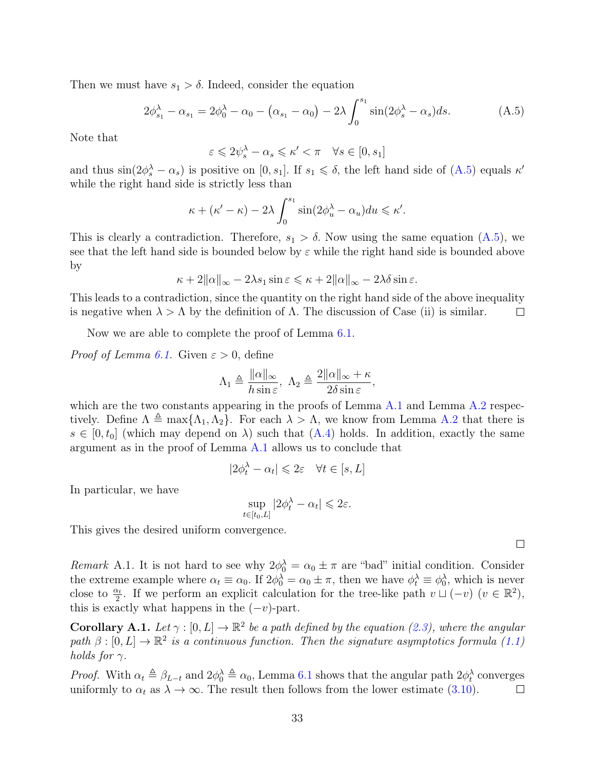Then we must have  $s_1 > \delta$ . Indeed, consider the equation

<span id="page-32-0"></span>
$$
2\phi_{s_1}^{\lambda} - \alpha_{s_1} = 2\phi_0^{\lambda} - \alpha_0 - (\alpha_{s_1} - \alpha_0) - 2\lambda \int_0^{s_1} \sin(2\phi_s^{\lambda} - \alpha_s) ds.
$$
 (A.5)

Note that

$$
\varepsilon \leqslant 2 \psi_s^{\lambda} - \alpha_s \leqslant \kappa' < \pi \quad \forall s \in [0,s_1]
$$

and thus  $\sin(2\phi_s^{\lambda} - \alpha_s)$  is positive on [0, s<sub>1</sub>]. If  $s_1 \leq \delta$ , the left hand side of [\(A.5\)](#page-32-0) equals  $\kappa'$ while the right hand side is strictly less than

$$
\kappa + (\kappa' - \kappa) - 2\lambda \int_0^{s_1} \sin(2\phi_u^{\lambda} - \alpha_u) du \leq \kappa'.
$$

This is clearly a contradiction. Therefore,  $s_1 > \delta$ . Now using the same equation [\(A.5\)](#page-32-0), we see that the left hand side is bounded below by  $\varepsilon$  while the right hand side is bounded above by

$$
\kappa + 2\|\alpha\|_{\infty} - 2\lambda s_1 \sin \varepsilon \leqslant \kappa + 2\|\alpha\|_{\infty} - 2\lambda \delta \sin \varepsilon.
$$

This leads to a contradiction, since the quantity on the right hand side of the above inequality is negative when  $\lambda > \Lambda$  by the definition of  $\Lambda$ . The discussion of Case (ii) is similar.  $\Box$ 

Now we are able to complete the proof of Lemma [6.1.](#page-25-0)

*Proof of Lemma [6.1.](#page-25-0)* Given  $\varepsilon > 0$ , define

$$
\Lambda_1 \triangleq \frac{\|\alpha\|_{\infty}}{h \sin \varepsilon}, \ \Lambda_2 \triangleq \frac{2\|\alpha\|_{\infty} + \kappa}{2\delta \sin \varepsilon},
$$

which are the two constants appearing in the proofs of Lemma [A.1](#page-30-3) and Lemma [A.2](#page-31-2) respectively. Define  $\Lambda \triangleq \max{\Lambda_1, \Lambda_2}$ . For each  $\lambda > \Lambda$ , we know from Lemma [A.2](#page-31-2) that there is  $s \in [0, t_0]$  (which may depend on  $\lambda$ ) such that  $(A.4)$  holds. In addition, exactly the same argument as in the proof of Lemma [A.1](#page-30-3) allows us to conclude that

$$
|2\phi_t^{\lambda}-\alpha_t|\leqslant 2\varepsilon \quad \forall t\in[s,L]
$$

In particular, we have

$$
\sup_{t \in [t_0, L]} |2\phi_t^{\lambda} - \alpha_t| \leq 2\varepsilon.
$$

This gives the desired uniform convergence.

Remark A.1. It is not hard to see why  $2\phi_0^{\lambda} = \alpha_0 \pm \pi$  are "bad" initial condition. Consider the extreme example where  $\alpha_t \equiv \alpha_0$ . If  $2\phi_0^{\lambda} = \alpha_0 \pm \pi$ , then we have  $\phi_t^{\lambda} \equiv \phi_0^{\lambda}$ , which is never close to  $\frac{\alpha_t}{2}$ . If we perform an explicit calculation for the tree-like path  $v \sqcup (-v)$   $(v \in \mathbb{R}^2)$ , this is exactly what happens in the  $(-v)$ -part.

**Corollary A.1.** Let  $\gamma : [0, L] \to \mathbb{R}^2$  be a path defined by the equation [\(2.3\)](#page-3-3), where the angular path  $\beta : [0, L] \to \mathbb{R}^2$  is a continuous function. Then the signature asymptotics formula [\(1.1\)](#page-2-0) holds for  $\gamma$ .

*Proof.* With  $\alpha_t \triangleq \beta_{L-t}$  and  $2\phi_0^{\lambda} \triangleq \alpha_0$ , Lemma [6.1](#page-25-0) shows that the angular path  $2\phi_t^{\lambda}$  converges uniformly to  $\alpha_t$  as  $\lambda \to \infty$ . The result then follows from the lower estimate [\(3.10\)](#page-10-3).  $\Box$